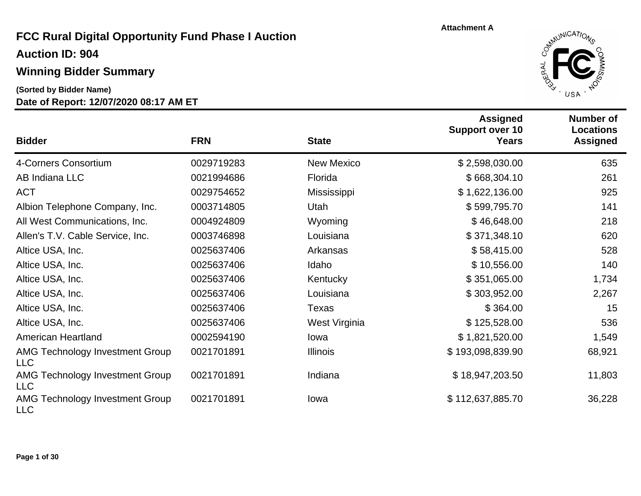#### **Winning Bidder Summary**

#### **(Sorted by Bidder Name)**



| <b>Bidder</b>                                        | <b>FRN</b> | <b>State</b>      | <b>Assigned</b><br><b>Support over 10</b><br><b>Years</b> | <b>Number of</b><br><b>Locations</b><br><b>Assigned</b> |
|------------------------------------------------------|------------|-------------------|-----------------------------------------------------------|---------------------------------------------------------|
| 4-Corners Consortium                                 | 0029719283 | <b>New Mexico</b> | \$2,598,030.00                                            | 635                                                     |
| AB Indiana LLC                                       | 0021994686 | Florida           | \$668,304.10                                              | 261                                                     |
| <b>ACT</b>                                           | 0029754652 | Mississippi       | \$1,622,136.00                                            | 925                                                     |
| Albion Telephone Company, Inc.                       | 0003714805 | Utah              | \$599,795.70                                              | 141                                                     |
| All West Communications, Inc.                        | 0004924809 | Wyoming           | \$46,648.00                                               | 218                                                     |
| Allen's T.V. Cable Service, Inc.                     | 0003746898 | Louisiana         | \$371,348.10                                              | 620                                                     |
| Altice USA, Inc.                                     | 0025637406 | Arkansas          | \$58,415.00                                               | 528                                                     |
| Altice USA, Inc.                                     | 0025637406 | Idaho             | \$10,556.00                                               | 140                                                     |
| Altice USA, Inc.                                     | 0025637406 | Kentucky          | \$351,065.00                                              | 1,734                                                   |
| Altice USA, Inc.                                     | 0025637406 | Louisiana         | \$303,952.00                                              | 2,267                                                   |
| Altice USA, Inc.                                     | 0025637406 | Texas             | \$364.00                                                  | 15                                                      |
| Altice USA, Inc.                                     | 0025637406 | West Virginia     | \$125,528.00                                              | 536                                                     |
| <b>American Heartland</b>                            | 0002594190 | lowa              | \$1,821,520.00                                            | 1,549                                                   |
| <b>AMG Technology Investment Group</b><br><b>LLC</b> | 0021701891 | <b>Illinois</b>   | \$193,098,839.90                                          | 68,921                                                  |
| AMG Technology Investment Group<br><b>LLC</b>        | 0021701891 | Indiana           | \$18,947,203.50                                           | 11,803                                                  |
| <b>AMG Technology Investment Group</b><br><b>LLC</b> | 0021701891 | lowa              | \$112,637,885.70                                          | 36,228                                                  |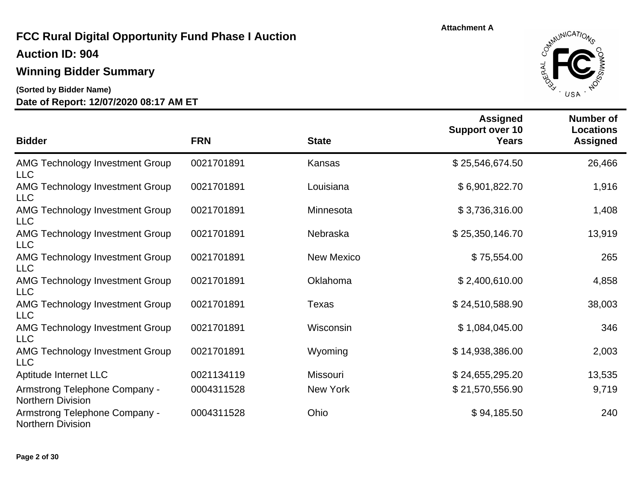**Auction ID: 904**

#### **Winning Bidder Summary**

**(Sorted by Bidder Name)**



| <b>Bidder</b>                                             | <b>FRN</b> | <b>State</b>    | <b>Assigned</b><br><b>Support over 10</b><br><b>Years</b> | <b>Number of</b><br><b>Locations</b><br><b>Assigned</b> |
|-----------------------------------------------------------|------------|-----------------|-----------------------------------------------------------|---------------------------------------------------------|
| AMG Technology Investment Group<br><b>LLC</b>             | 0021701891 | Kansas          | \$25,546,674.50                                           | 26,466                                                  |
| <b>AMG Technology Investment Group</b><br><b>LLC</b>      | 0021701891 | Louisiana       | \$6,901,822.70                                            | 1,916                                                   |
| <b>AMG Technology Investment Group</b><br><b>LLC</b>      | 0021701891 | Minnesota       | \$3,736,316.00                                            | 1,408                                                   |
| <b>AMG Technology Investment Group</b><br><b>LLC</b>      | 0021701891 | Nebraska        | \$25,350,146.70                                           | 13,919                                                  |
| <b>AMG Technology Investment Group</b><br><b>LLC</b>      | 0021701891 | New Mexico      | \$75,554.00                                               | 265                                                     |
| <b>AMG Technology Investment Group</b><br><b>LLC</b>      | 0021701891 | Oklahoma        | \$2,400,610.00                                            | 4,858                                                   |
| <b>AMG Technology Investment Group</b><br><b>LLC</b>      | 0021701891 | Texas           | \$24,510,588.90                                           | 38,003                                                  |
| <b>AMG Technology Investment Group</b><br><b>LLC</b>      | 0021701891 | Wisconsin       | \$1,084,045.00                                            | 346                                                     |
| <b>AMG Technology Investment Group</b><br><b>LLC</b>      | 0021701891 | Wyoming         | \$14,938,386.00                                           | 2,003                                                   |
| Aptitude Internet LLC                                     | 0021134119 | <b>Missouri</b> | \$24,655,295.20                                           | 13,535                                                  |
| Armstrong Telephone Company -<br><b>Northern Division</b> | 0004311528 | New York        | \$21,570,556.90                                           | 9,719                                                   |
| Armstrong Telephone Company -<br><b>Northern Division</b> | 0004311528 | Ohio            | \$94,185.50                                               | 240                                                     |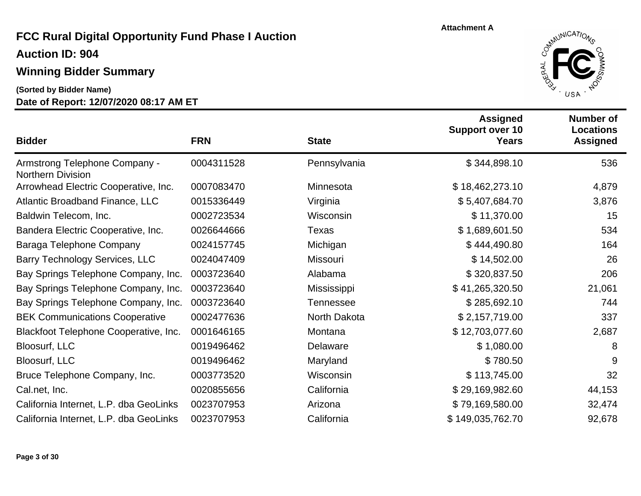**Auction ID: 904**

### **Winning Bidder Summary**

**(Sorted by Bidder Name)**



| <b>Bidder</b>                                             | <b>FRN</b> | <b>State</b>     | <b>Assigned</b><br><b>Support over 10</b><br><b>Years</b> | <b>Number of</b><br>Locations<br><b>Assigned</b> |
|-----------------------------------------------------------|------------|------------------|-----------------------------------------------------------|--------------------------------------------------|
| Armstrong Telephone Company -<br><b>Northern Division</b> | 0004311528 | Pennsylvania     | \$344,898.10                                              | 536                                              |
| Arrowhead Electric Cooperative, Inc.                      | 0007083470 | Minnesota        | \$18,462,273.10                                           | 4,879                                            |
| <b>Atlantic Broadband Finance, LLC</b>                    | 0015336449 | Virginia         | \$5,407,684.70                                            | 3,876                                            |
| Baldwin Telecom, Inc.                                     | 0002723534 | Wisconsin        | \$11,370.00                                               | 15                                               |
| Bandera Electric Cooperative, Inc.                        | 0026644666 | <b>Texas</b>     | \$1,689,601.50                                            | 534                                              |
| Baraga Telephone Company                                  | 0024157745 | Michigan         | \$444,490.80                                              | 164                                              |
| <b>Barry Technology Services, LLC</b>                     | 0024047409 | Missouri         | \$14,502.00                                               | 26                                               |
| Bay Springs Telephone Company, Inc.                       | 0003723640 | Alabama          | \$320,837.50                                              | 206                                              |
| Bay Springs Telephone Company, Inc.                       | 0003723640 | Mississippi      | \$41,265,320.50                                           | 21,061                                           |
| Bay Springs Telephone Company, Inc.                       | 0003723640 | <b>Tennessee</b> | \$285,692.10                                              | 744                                              |
| <b>BEK Communications Cooperative</b>                     | 0002477636 | North Dakota     | \$2,157,719.00                                            | 337                                              |
| Blackfoot Telephone Cooperative, Inc.                     | 0001646165 | Montana          | \$12,703,077.60                                           | 2,687                                            |
| <b>Bloosurf, LLC</b>                                      | 0019496462 | Delaware         | \$1,080.00                                                | 8                                                |
| <b>Bloosurf, LLC</b>                                      | 0019496462 | Maryland         | \$780.50                                                  | 9                                                |
| Bruce Telephone Company, Inc.                             | 0003773520 | Wisconsin        | \$113,745.00                                              | 32                                               |
| Cal.net, Inc.                                             | 0020855656 | California       | \$29,169,982.60                                           | 44,153                                           |
| California Internet, L.P. dba GeoLinks                    | 0023707953 | Arizona          | \$79,169,580.00                                           | 32,474                                           |
| California Internet, L.P. dba GeoLinks                    | 0023707953 | California       | \$149,035,762.70                                          | 92,678                                           |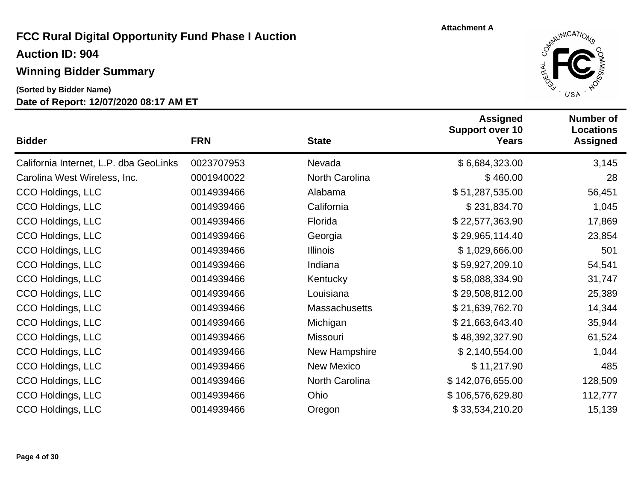**Auction ID: 904**

## **Winning Bidder Summary**

**(Sorted by Bidder Name)**



| <b>Bidder</b>                          | <b>FRN</b> | <b>State</b>          | <b>Assigned</b><br><b>Support over 10</b><br><b>Years</b> | <b>Number of</b><br><b>Locations</b><br><b>Assigned</b> |
|----------------------------------------|------------|-----------------------|-----------------------------------------------------------|---------------------------------------------------------|
| California Internet, L.P. dba GeoLinks | 0023707953 | Nevada                | \$6,684,323.00                                            | 3,145                                                   |
| Carolina West Wireless, Inc.           | 0001940022 | <b>North Carolina</b> | \$460.00                                                  | 28                                                      |
| CCO Holdings, LLC                      | 0014939466 | Alabama               | \$51,287,535.00                                           | 56,451                                                  |
| CCO Holdings, LLC                      | 0014939466 | California            | \$231,834.70                                              | 1,045                                                   |
| CCO Holdings, LLC                      | 0014939466 | Florida               | \$22,577,363.90                                           | 17,869                                                  |
| CCO Holdings, LLC                      | 0014939466 | Georgia               | \$29,965,114.40                                           | 23,854                                                  |
| CCO Holdings, LLC                      | 0014939466 | <b>Illinois</b>       | \$1,029,666.00                                            | 501                                                     |
| CCO Holdings, LLC                      | 0014939466 | Indiana               | \$59,927,209.10                                           | 54,541                                                  |
| CCO Holdings, LLC                      | 0014939466 | Kentucky              | \$58,088,334.90                                           | 31,747                                                  |
| CCO Holdings, LLC                      | 0014939466 | Louisiana             | \$29,508,812.00                                           | 25,389                                                  |
| CCO Holdings, LLC                      | 0014939466 | <b>Massachusetts</b>  | \$21,639,762.70                                           | 14,344                                                  |
| CCO Holdings, LLC                      | 0014939466 | Michigan              | \$21,663,643.40                                           | 35,944                                                  |
| CCO Holdings, LLC                      | 0014939466 | Missouri              | \$48,392,327.90                                           | 61,524                                                  |
| CCO Holdings, LLC                      | 0014939466 | New Hampshire         | \$2,140,554.00                                            | 1,044                                                   |
| CCO Holdings, LLC                      | 0014939466 | <b>New Mexico</b>     | \$11,217.90                                               | 485                                                     |
| CCO Holdings, LLC                      | 0014939466 | North Carolina        | \$142,076,655.00                                          | 128,509                                                 |
| CCO Holdings, LLC                      | 0014939466 | Ohio                  | \$106,576,629.80                                          | 112,777                                                 |
| CCO Holdings, LLC                      | 0014939466 | Oregon                | \$33,534,210.20                                           | 15,139                                                  |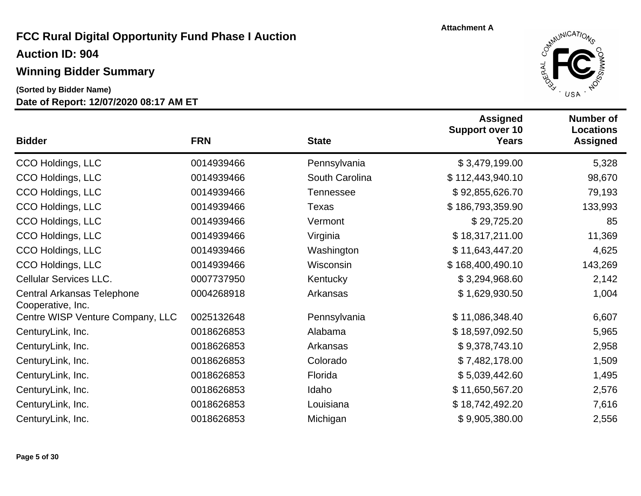# **Winning Bidder Summary**

**(Sorted by Bidder Name)**



| <b>Bidder</b>                                   | <b>FRN</b> | <b>State</b>   | <b>Assigned</b><br><b>Support over 10</b><br><b>Years</b> | <b>Number of</b><br><b>Locations</b><br><b>Assigned</b> |
|-------------------------------------------------|------------|----------------|-----------------------------------------------------------|---------------------------------------------------------|
| CCO Holdings, LLC                               | 0014939466 | Pennsylvania   | \$3,479,199.00                                            | 5,328                                                   |
| CCO Holdings, LLC                               | 0014939466 | South Carolina | \$112,443,940.10                                          | 98,670                                                  |
| CCO Holdings, LLC                               | 0014939466 | Tennessee      | \$92,855,626.70                                           | 79,193                                                  |
| CCO Holdings, LLC                               | 0014939466 | Texas          | \$186,793,359.90                                          | 133,993                                                 |
| CCO Holdings, LLC                               | 0014939466 | Vermont        | \$29,725.20                                               | 85                                                      |
| CCO Holdings, LLC                               | 0014939466 | Virginia       | \$18,317,211.00                                           | 11,369                                                  |
| CCO Holdings, LLC                               | 0014939466 | Washington     | \$11,643,447.20                                           | 4,625                                                   |
| CCO Holdings, LLC                               | 0014939466 | Wisconsin      | \$168,400,490.10                                          | 143,269                                                 |
| <b>Cellular Services LLC.</b>                   | 0007737950 | Kentucky       | \$3,294,968.60                                            | 2,142                                                   |
| Central Arkansas Telephone<br>Cooperative, Inc. | 0004268918 | Arkansas       | \$1,629,930.50                                            | 1,004                                                   |
| Centre WISP Venture Company, LLC                | 0025132648 | Pennsylvania   | \$11,086,348.40                                           | 6,607                                                   |
| CenturyLink, Inc.                               | 0018626853 | Alabama        | \$18,597,092.50                                           | 5,965                                                   |
| CenturyLink, Inc.                               | 0018626853 | Arkansas       | \$9,378,743.10                                            | 2,958                                                   |
| CenturyLink, Inc.                               | 0018626853 | Colorado       | \$7,482,178.00                                            | 1,509                                                   |
| CenturyLink, Inc.                               | 0018626853 | Florida        | \$5,039,442.60                                            | 1,495                                                   |
| CenturyLink, Inc.                               | 0018626853 | Idaho          | \$11,650,567.20                                           | 2,576                                                   |
| CenturyLink, Inc.                               | 0018626853 | Louisiana      | \$18,742,492.20                                           | 7,616                                                   |
| CenturyLink, Inc.                               | 0018626853 | Michigan       | \$9,905,380.00                                            | 2,556                                                   |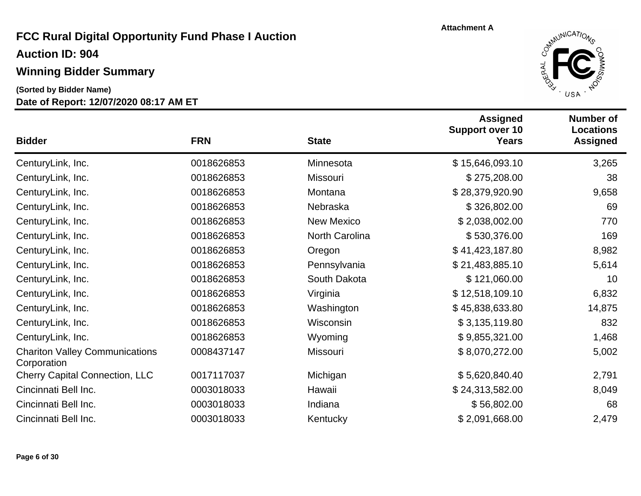#### **Winning Bidder Summary**

## **(Sorted by Bidder Name)**



| <b>Bidder</b>                                        | <b>FRN</b> | <b>State</b>      | <b>Assigned</b><br><b>Support over 10</b><br><b>Years</b> | <b>Number of</b><br><b>Locations</b><br><b>Assigned</b> |
|------------------------------------------------------|------------|-------------------|-----------------------------------------------------------|---------------------------------------------------------|
| CenturyLink, Inc.                                    | 0018626853 | Minnesota         | \$15,646,093.10                                           | 3,265                                                   |
| CenturyLink, Inc.                                    | 0018626853 | Missouri          | \$275,208.00                                              | 38                                                      |
| CenturyLink, Inc.                                    | 0018626853 | Montana           | \$28,379,920.90                                           | 9,658                                                   |
| CenturyLink, Inc.                                    | 0018626853 | Nebraska          | \$326,802.00                                              | 69                                                      |
| CenturyLink, Inc.                                    | 0018626853 | <b>New Mexico</b> | \$2,038,002.00                                            | 770                                                     |
| CenturyLink, Inc.                                    | 0018626853 | North Carolina    | \$530,376.00                                              | 169                                                     |
| CenturyLink, Inc.                                    | 0018626853 | Oregon            | \$41,423,187.80                                           | 8,982                                                   |
| CenturyLink, Inc.                                    | 0018626853 | Pennsylvania      | \$21,483,885.10                                           | 5,614                                                   |
| CenturyLink, Inc.                                    | 0018626853 | South Dakota      | \$121,060.00                                              | 10                                                      |
| CenturyLink, Inc.                                    | 0018626853 | Virginia          | \$12,518,109.10                                           | 6,832                                                   |
| CenturyLink, Inc.                                    | 0018626853 | Washington        | \$45,838,633.80                                           | 14,875                                                  |
| CenturyLink, Inc.                                    | 0018626853 | Wisconsin         | \$3,135,119.80                                            | 832                                                     |
| CenturyLink, Inc.                                    | 0018626853 | Wyoming           | \$9,855,321.00                                            | 1,468                                                   |
| <b>Chariton Valley Communications</b><br>Corporation | 0008437147 | Missouri          | \$8,070,272.00                                            | 5,002                                                   |
| <b>Cherry Capital Connection, LLC</b>                | 0017117037 | Michigan          | \$5,620,840.40                                            | 2,791                                                   |
| Cincinnati Bell Inc.                                 | 0003018033 | Hawaii            | \$24,313,582.00                                           | 8,049                                                   |
| Cincinnati Bell Inc.                                 | 0003018033 | Indiana           | \$56,802.00                                               | 68                                                      |
| Cincinnati Bell Inc.                                 | 0003018033 | Kentucky          | \$2,091,668.00                                            | 2,479                                                   |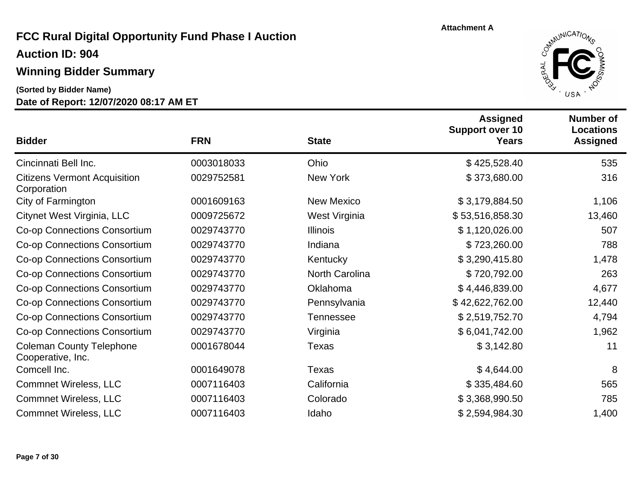**Auction ID: 904**

## **Winning Bidder Summary**

**(Sorted by Bidder Name)**



| <b>Bidder</b>                                        | <b>FRN</b> | <b>State</b>      | <b>Assigned</b><br><b>Support over 10</b><br><b>Years</b> | <b>Number of</b><br><b>Locations</b><br><b>Assigned</b> |
|------------------------------------------------------|------------|-------------------|-----------------------------------------------------------|---------------------------------------------------------|
| Cincinnati Bell Inc.                                 | 0003018033 | Ohio              | \$425,528.40                                              | 535                                                     |
| <b>Citizens Vermont Acquisition</b><br>Corporation   | 0029752581 | New York          | \$373,680.00                                              | 316                                                     |
| City of Farmington                                   | 0001609163 | <b>New Mexico</b> | \$3,179,884.50                                            | 1,106                                                   |
| Citynet West Virginia, LLC                           | 0009725672 | West Virginia     | \$53,516,858.30                                           | 13,460                                                  |
| <b>Co-op Connections Consortium</b>                  | 0029743770 | <b>Illinois</b>   | \$1,120,026.00                                            | 507                                                     |
| <b>Co-op Connections Consortium</b>                  | 0029743770 | Indiana           | \$723,260.00                                              | 788                                                     |
| <b>Co-op Connections Consortium</b>                  | 0029743770 | Kentucky          | \$3,290,415.80                                            | 1,478                                                   |
| Co-op Connections Consortium                         | 0029743770 | North Carolina    | \$720,792.00                                              | 263                                                     |
| <b>Co-op Connections Consortium</b>                  | 0029743770 | Oklahoma          | \$4,446,839.00                                            | 4,677                                                   |
| Co-op Connections Consortium                         | 0029743770 | Pennsylvania      | \$42,622,762.00                                           | 12,440                                                  |
| Co-op Connections Consortium                         | 0029743770 | <b>Tennessee</b>  | \$2,519,752.70                                            | 4,794                                                   |
| Co-op Connections Consortium                         | 0029743770 | Virginia          | \$6,041,742.00                                            | 1,962                                                   |
| <b>Coleman County Telephone</b><br>Cooperative, Inc. | 0001678044 | <b>Texas</b>      | \$3,142.80                                                | 11                                                      |
| Comcell Inc.                                         | 0001649078 | <b>Texas</b>      | \$4,644.00                                                | 8                                                       |
| <b>Commnet Wireless, LLC</b>                         | 0007116403 | California        | \$335,484.60                                              | 565                                                     |
| <b>Commnet Wireless, LLC</b>                         | 0007116403 | Colorado          | \$3,368,990.50                                            | 785                                                     |
| <b>Commnet Wireless, LLC</b>                         | 0007116403 | Idaho             | \$2,594,984.30                                            | 1,400                                                   |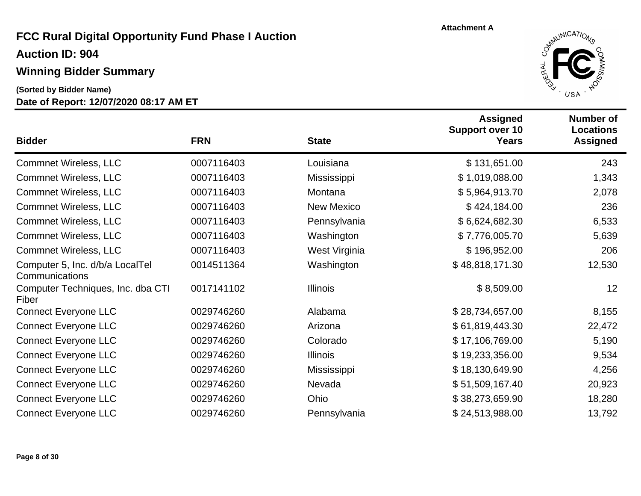#### **Winning Bidder Summary**

**(Sorted by Bidder Name)**



| <b>Bidder</b>                                     | <b>FRN</b> | <b>State</b>      | <b>Assigned</b><br><b>Support over 10</b><br><b>Years</b> | <b>Number of</b><br><b>Locations</b><br><b>Assigned</b> |
|---------------------------------------------------|------------|-------------------|-----------------------------------------------------------|---------------------------------------------------------|
| <b>Commnet Wireless, LLC</b>                      | 0007116403 | Louisiana         | \$131,651.00                                              | 243                                                     |
| <b>Commnet Wireless, LLC</b>                      | 0007116403 | Mississippi       | \$1,019,088.00                                            | 1,343                                                   |
| <b>Commnet Wireless, LLC</b>                      | 0007116403 | Montana           | \$5,964,913.70                                            | 2,078                                                   |
| <b>Commnet Wireless, LLC</b>                      | 0007116403 | <b>New Mexico</b> | \$424,184.00                                              | 236                                                     |
| <b>Commnet Wireless, LLC</b>                      | 0007116403 | Pennsylvania      | \$6,624,682.30                                            | 6,533                                                   |
| <b>Commnet Wireless, LLC</b>                      | 0007116403 | Washington        | \$7,776,005.70                                            | 5,639                                                   |
| <b>Commnet Wireless, LLC</b>                      | 0007116403 | West Virginia     | \$196,952.00                                              | 206                                                     |
| Computer 5, Inc. d/b/a LocalTel<br>Communications | 0014511364 | Washington        | \$48,818,171.30                                           | 12,530                                                  |
| Computer Techniques, Inc. dba CTI<br>Fiber        | 0017141102 | <b>Illinois</b>   | \$8,509.00                                                | 12                                                      |
| <b>Connect Everyone LLC</b>                       | 0029746260 | Alabama           | \$28,734,657.00                                           | 8,155                                                   |
| <b>Connect Everyone LLC</b>                       | 0029746260 | Arizona           | \$61,819,443.30                                           | 22,472                                                  |
| <b>Connect Everyone LLC</b>                       | 0029746260 | Colorado          | \$17,106,769.00                                           | 5,190                                                   |
| <b>Connect Everyone LLC</b>                       | 0029746260 | <b>Illinois</b>   | \$19,233,356.00                                           | 9,534                                                   |
| <b>Connect Everyone LLC</b>                       | 0029746260 | Mississippi       | \$18,130,649.90                                           | 4,256                                                   |
| <b>Connect Everyone LLC</b>                       | 0029746260 | Nevada            | \$51,509,167.40                                           | 20,923                                                  |
| <b>Connect Everyone LLC</b>                       | 0029746260 | Ohio              | \$38,273,659.90                                           | 18,280                                                  |
| <b>Connect Everyone LLC</b>                       | 0029746260 | Pennsylvania      | \$24,513,988.00                                           | 13,792                                                  |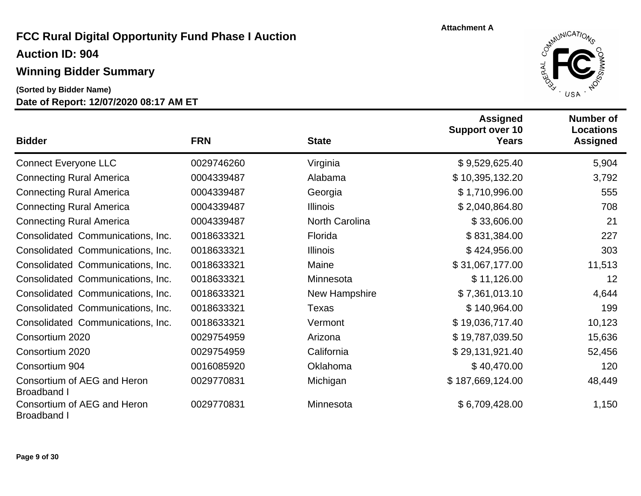## **Winning Bidder Summary**

#### **Date of Report: 12/07/2020 08:17 AM ET (Sorted by Bidder Name)**



| <b>Bidder</b>                                     | <b>FRN</b> | <b>State</b>          | <b>Assigned</b><br><b>Support over 10</b><br><b>Years</b> | <b>Number of</b><br><b>Locations</b><br><b>Assigned</b> |
|---------------------------------------------------|------------|-----------------------|-----------------------------------------------------------|---------------------------------------------------------|
| <b>Connect Everyone LLC</b>                       | 0029746260 | Virginia              | \$9,529,625.40                                            | 5,904                                                   |
| <b>Connecting Rural America</b>                   | 0004339487 | Alabama               | \$10,395,132.20                                           | 3,792                                                   |
| <b>Connecting Rural America</b>                   | 0004339487 | Georgia               | \$1,710,996.00                                            | 555                                                     |
| <b>Connecting Rural America</b>                   | 0004339487 | <b>Illinois</b>       | \$2,040,864.80                                            | 708                                                     |
| <b>Connecting Rural America</b>                   | 0004339487 | <b>North Carolina</b> | \$33,606.00                                               | 21                                                      |
| Consolidated Communications, Inc.                 | 0018633321 | Florida               | \$831,384.00                                              | 227                                                     |
| Consolidated Communications, Inc.                 | 0018633321 | <b>Illinois</b>       | \$424,956.00                                              | 303                                                     |
| Consolidated Communications, Inc.                 | 0018633321 | Maine                 | \$31,067,177.00                                           | 11,513                                                  |
| Consolidated Communications, Inc.                 | 0018633321 | Minnesota             | \$11,126.00                                               | 12                                                      |
| Consolidated Communications, Inc.                 | 0018633321 | New Hampshire         | \$7,361,013.10                                            | 4,644                                                   |
| Consolidated Communications, Inc.                 | 0018633321 | Texas                 | \$140,964.00                                              | 199                                                     |
| Consolidated Communications, Inc.                 | 0018633321 | Vermont               | \$19,036,717.40                                           | 10,123                                                  |
| Consortium 2020                                   | 0029754959 | Arizona               | \$19,787,039.50                                           | 15,636                                                  |
| Consortium 2020                                   | 0029754959 | California            | \$29,131,921.40                                           | 52,456                                                  |
| Consortium 904                                    | 0016085920 | Oklahoma              | \$40,470.00                                               | 120                                                     |
| Consortium of AEG and Heron<br><b>Broadband I</b> | 0029770831 | Michigan              | \$187,669,124.00                                          | 48,449                                                  |
| Consortium of AEG and Heron<br><b>Broadband I</b> | 0029770831 | Minnesota             | \$6,709,428.00                                            | 1,150                                                   |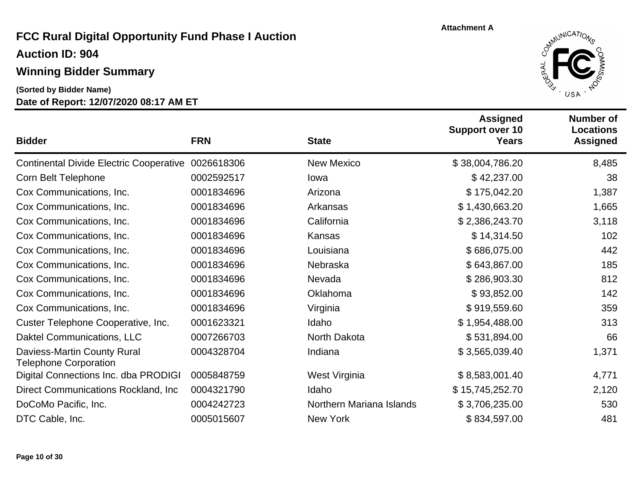## **Auction ID: 904**

## **Winning Bidder Summary**

**(Sorted by Bidder Name)**



| <b>Bidder</b>                                               | <b>FRN</b> | <b>State</b>             | <b>Assigned</b><br><b>Support over 10</b><br><b>Years</b> | <b>Number of</b><br><b>Locations</b><br><b>Assigned</b> |
|-------------------------------------------------------------|------------|--------------------------|-----------------------------------------------------------|---------------------------------------------------------|
| <b>Continental Divide Electric Cooperative</b>              | 0026618306 | <b>New Mexico</b>        | \$38,004,786.20                                           | 8,485                                                   |
| Corn Belt Telephone                                         | 0002592517 | lowa                     | \$42,237.00                                               | 38                                                      |
| Cox Communications, Inc.                                    | 0001834696 | Arizona                  | \$175,042.20                                              | 1,387                                                   |
| Cox Communications, Inc.                                    | 0001834696 | Arkansas                 | \$1,430,663.20                                            | 1,665                                                   |
| Cox Communications, Inc.                                    | 0001834696 | California               | \$2,386,243.70                                            | 3,118                                                   |
| Cox Communications, Inc.                                    | 0001834696 | Kansas                   | \$14,314.50                                               | 102                                                     |
| Cox Communications, Inc.                                    | 0001834696 | Louisiana                | \$686,075.00                                              | 442                                                     |
| Cox Communications, Inc.                                    | 0001834696 | Nebraska                 | \$643,867.00                                              | 185                                                     |
| Cox Communications, Inc.                                    | 0001834696 | Nevada                   | \$286,903.30                                              | 812                                                     |
| Cox Communications, Inc.                                    | 0001834696 | Oklahoma                 | \$93,852.00                                               | 142                                                     |
| Cox Communications, Inc.                                    | 0001834696 | Virginia                 | \$919,559.60                                              | 359                                                     |
| Custer Telephone Cooperative, Inc.                          | 0001623321 | Idaho                    | \$1,954,488.00                                            | 313                                                     |
| Daktel Communications, LLC                                  | 0007266703 | North Dakota             | \$531,894.00                                              | 66                                                      |
| Daviess-Martin County Rural<br><b>Telephone Corporation</b> | 0004328704 | Indiana                  | \$3,565,039.40                                            | 1,371                                                   |
| Digital Connections Inc. dba PRODIGI                        | 0005848759 | West Virginia            | \$8,583,001.40                                            | 4,771                                                   |
| Direct Communications Rockland, Inc.                        | 0004321790 | Idaho                    | \$15,745,252.70                                           | 2,120                                                   |
| DoCoMo Pacific, Inc.                                        | 0004242723 | Northern Mariana Islands | \$3,706,235.00                                            | 530                                                     |
| DTC Cable, Inc.                                             | 0005015607 | New York                 | \$834,597.00                                              | 481                                                     |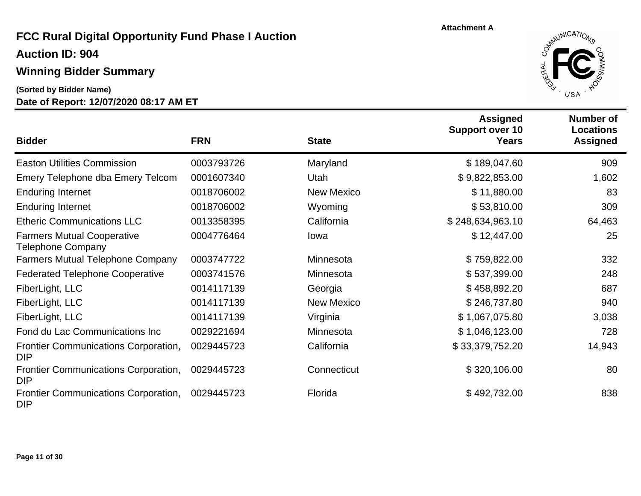## **Auction ID: 904**

### **Winning Bidder Summary**

**(Sorted by Bidder Name)**



| <b>Bidder</b>                                                 | <b>FRN</b> | <b>State</b>      | <b>Assigned</b><br><b>Support over 10</b><br><b>Years</b> | <b>Number of</b><br><b>Locations</b><br><b>Assigned</b> |
|---------------------------------------------------------------|------------|-------------------|-----------------------------------------------------------|---------------------------------------------------------|
| <b>Easton Utilities Commission</b>                            | 0003793726 | Maryland          | \$189,047.60                                              | 909                                                     |
| Emery Telephone dba Emery Telcom                              | 0001607340 | Utah              | \$9,822,853.00                                            | 1,602                                                   |
| <b>Enduring Internet</b>                                      | 0018706002 | <b>New Mexico</b> | \$11,880.00                                               | 83                                                      |
| <b>Enduring Internet</b>                                      | 0018706002 | Wyoming           | \$53,810.00                                               | 309                                                     |
| <b>Etheric Communications LLC</b>                             | 0013358395 | California        | \$248,634,963.10                                          | 64,463                                                  |
| <b>Farmers Mutual Cooperative</b><br><b>Telephone Company</b> | 0004776464 | lowa              | \$12,447.00                                               | 25                                                      |
| <b>Farmers Mutual Telephone Company</b>                       | 0003747722 | Minnesota         | \$759,822.00                                              | 332                                                     |
| <b>Federated Telephone Cooperative</b>                        | 0003741576 | Minnesota         | \$537,399.00                                              | 248                                                     |
| FiberLight, LLC                                               | 0014117139 | Georgia           | \$458,892.20                                              | 687                                                     |
| FiberLight, LLC                                               | 0014117139 | <b>New Mexico</b> | \$246,737.80                                              | 940                                                     |
| FiberLight, LLC                                               | 0014117139 | Virginia          | \$1,067,075.80                                            | 3,038                                                   |
| Fond du Lac Communications Inc                                | 0029221694 | Minnesota         | \$1,046,123.00                                            | 728                                                     |
| Frontier Communications Corporation,<br><b>DIP</b>            | 0029445723 | California        | \$33,379,752.20                                           | 14,943                                                  |
| Frontier Communications Corporation,<br><b>DIP</b>            | 0029445723 | Connecticut       | \$320,106.00                                              | 80                                                      |
| Frontier Communications Corporation,<br><b>DIP</b>            | 0029445723 | Florida           | \$492,732.00                                              | 838                                                     |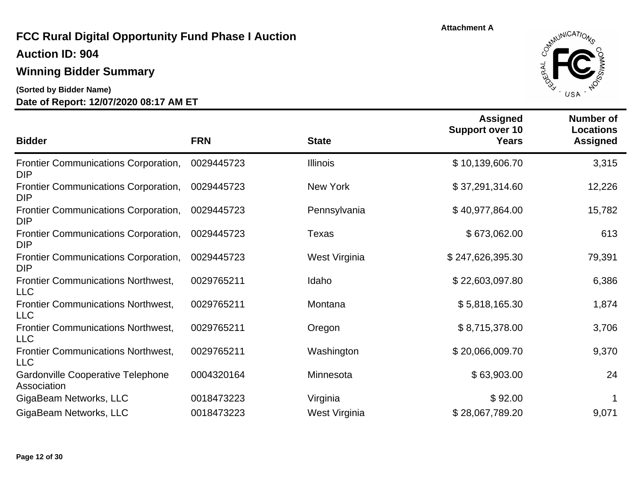**Auction ID: 904**

### **Winning Bidder Summary**

**(Sorted by Bidder Name)**



| <b>Bidder</b>                                             | <b>FRN</b> | <b>State</b>    | <b>Assigned</b><br><b>Support over 10</b><br><b>Years</b> | <b>Number of</b><br>Locations<br><b>Assigned</b> |
|-----------------------------------------------------------|------------|-----------------|-----------------------------------------------------------|--------------------------------------------------|
| <b>Frontier Communications Corporation,</b><br><b>DIP</b> | 0029445723 | <b>Illinois</b> | \$10,139,606.70                                           | 3,315                                            |
| <b>Frontier Communications Corporation,</b><br><b>DIP</b> | 0029445723 | New York        | \$37,291,314.60                                           | 12,226                                           |
| Frontier Communications Corporation,<br>DIP               | 0029445723 | Pennsylvania    | \$40,977,864.00                                           | 15,782                                           |
| <b>Frontier Communications Corporation,</b><br>DIP        | 0029445723 | Texas           | \$673,062.00                                              | 613                                              |
| <b>Frontier Communications Corporation,</b><br>DIP        | 0029445723 | West Virginia   | \$247,626,395.30                                          | 79,391                                           |
| <b>Frontier Communications Northwest,</b><br>LLC          | 0029765211 | Idaho           | \$22,603,097.80                                           | 6,386                                            |
| <b>Frontier Communications Northwest,</b><br>LLC          | 0029765211 | Montana         | \$5,818,165.30                                            | 1,874                                            |
| <b>Frontier Communications Northwest,</b><br>LLC          | 0029765211 | Oregon          | \$8,715,378.00                                            | 3,706                                            |
| <b>Frontier Communications Northwest,</b><br><b>LLC</b>   | 0029765211 | Washington      | \$20,066,009.70                                           | 9,370                                            |
| <b>Gardonville Cooperative Telephone</b><br>Association   | 0004320164 | Minnesota       | \$63,903.00                                               | 24                                               |
| GigaBeam Networks, LLC                                    | 0018473223 | Virginia        | \$92.00                                                   |                                                  |
| GigaBeam Networks, LLC                                    | 0018473223 | West Virginia   | \$28,067,789.20                                           | 9,071                                            |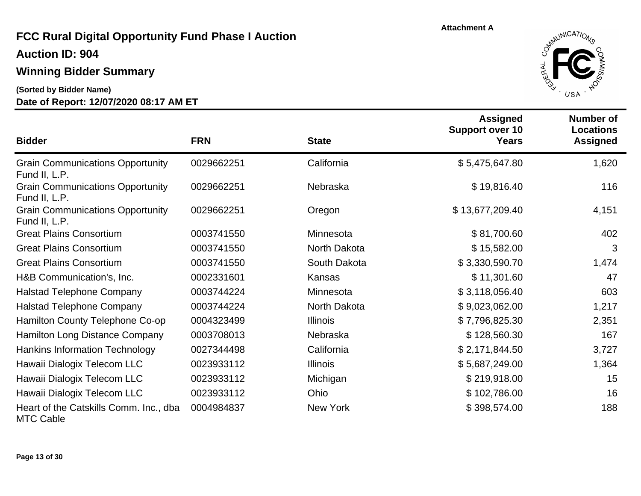**Auction ID: 904**

### **Winning Bidder Summary**

**(Sorted by Bidder Name)**



| <b>Bidder</b>                                              | <b>FRN</b> | <b>State</b>    | <b>Assigned</b><br><b>Support over 10</b><br><b>Years</b> | <b>Number of</b><br><b>Locations</b><br><b>Assigned</b> |
|------------------------------------------------------------|------------|-----------------|-----------------------------------------------------------|---------------------------------------------------------|
| <b>Grain Communications Opportunity</b><br>Fund II, L.P.   | 0029662251 | California      | \$5,475,647.80                                            | 1,620                                                   |
| <b>Grain Communications Opportunity</b><br>Fund II, L.P.   | 0029662251 | Nebraska        | \$19,816.40                                               | 116                                                     |
| <b>Grain Communications Opportunity</b><br>Fund II, L.P.   | 0029662251 | Oregon          | \$13,677,209.40                                           | 4,151                                                   |
| <b>Great Plains Consortium</b>                             | 0003741550 | Minnesota       | \$81,700.60                                               | 402                                                     |
| <b>Great Plains Consortium</b>                             | 0003741550 | North Dakota    | \$15,582.00                                               | 3                                                       |
| <b>Great Plains Consortium</b>                             | 0003741550 | South Dakota    | \$3,330,590.70                                            | 1,474                                                   |
| H&B Communication's, Inc.                                  | 0002331601 | Kansas          | \$11,301.60                                               | 47                                                      |
| <b>Halstad Telephone Company</b>                           | 0003744224 | Minnesota       | \$3,118,056.40                                            | 603                                                     |
| <b>Halstad Telephone Company</b>                           | 0003744224 | North Dakota    | \$9,023,062.00                                            | 1,217                                                   |
| Hamilton County Telephone Co-op                            | 0004323499 | <b>Illinois</b> | \$7,796,825.30                                            | 2,351                                                   |
| Hamilton Long Distance Company                             | 0003708013 | Nebraska        | \$128,560.30                                              | 167                                                     |
| <b>Hankins Information Technology</b>                      | 0027344498 | California      | \$2,171,844.50                                            | 3,727                                                   |
| Hawaii Dialogix Telecom LLC                                | 0023933112 | <b>Illinois</b> | \$5,687,249.00                                            | 1,364                                                   |
| Hawaii Dialogix Telecom LLC                                | 0023933112 | Michigan        | \$219,918.00                                              | 15                                                      |
| Hawaii Dialogix Telecom LLC                                | 0023933112 | Ohio            | \$102,786.00                                              | 16                                                      |
| Heart of the Catskills Comm. Inc., dba<br><b>MTC Cable</b> | 0004984837 | New York        | \$398,574.00                                              | 188                                                     |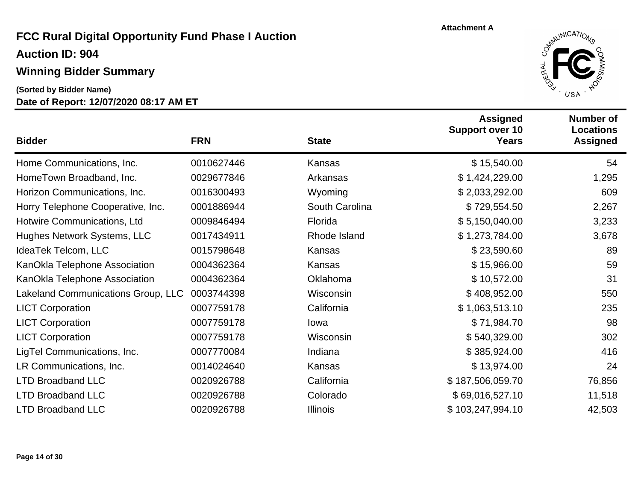## **Winning Bidder Summary**

**Date of Report: 12/07/2020 08:17 AM ET (Sorted by Bidder Name)**



| <b>Bidder</b>                      | <b>FRN</b> | <b>State</b>    | <b>Assigned</b><br><b>Support over 10</b><br>Years | <b>Number of</b><br><b>Locations</b><br><b>Assigned</b> |
|------------------------------------|------------|-----------------|----------------------------------------------------|---------------------------------------------------------|
| Home Communications, Inc.          | 0010627446 | Kansas          | \$15,540.00                                        | 54                                                      |
| HomeTown Broadband, Inc.           | 0029677846 | Arkansas        | \$1,424,229.00                                     | 1,295                                                   |
| Horizon Communications, Inc.       | 0016300493 | Wyoming         | \$2,033,292.00                                     | 609                                                     |
| Horry Telephone Cooperative, Inc.  | 0001886944 | South Carolina  | \$729,554.50                                       | 2,267                                                   |
| Hotwire Communications, Ltd        | 0009846494 | Florida         | \$5,150,040.00                                     | 3,233                                                   |
| Hughes Network Systems, LLC        | 0017434911 | Rhode Island    | \$1,273,784.00                                     | 3,678                                                   |
| IdeaTek Telcom, LLC                | 0015798648 | Kansas          | \$23,590.60                                        | 89                                                      |
| KanOkla Telephone Association      | 0004362364 | Kansas          | \$15,966.00                                        | 59                                                      |
| KanOkla Telephone Association      | 0004362364 | Oklahoma        | \$10,572.00                                        | 31                                                      |
| Lakeland Communications Group, LLC | 0003744398 | Wisconsin       | \$408,952.00                                       | 550                                                     |
| <b>LICT Corporation</b>            | 0007759178 | California      | \$1,063,513.10                                     | 235                                                     |
| <b>LICT Corporation</b>            | 0007759178 | lowa            | \$71,984.70                                        | 98                                                      |
| <b>LICT Corporation</b>            | 0007759178 | Wisconsin       | \$540,329.00                                       | 302                                                     |
| LigTel Communications, Inc.        | 0007770084 | Indiana         | \$385,924.00                                       | 416                                                     |
| LR Communications, Inc.            | 0014024640 | Kansas          | \$13,974.00                                        | 24                                                      |
| <b>LTD Broadband LLC</b>           | 0020926788 | California      | \$187,506,059.70                                   | 76,856                                                  |
| <b>LTD Broadband LLC</b>           | 0020926788 | Colorado        | \$69,016,527.10                                    | 11,518                                                  |
| <b>LTD Broadband LLC</b>           | 0020926788 | <b>Illinois</b> | \$103,247,994.10                                   | 42,503                                                  |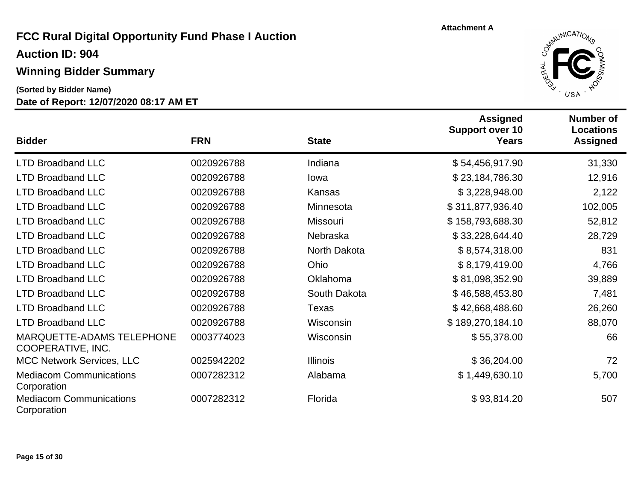**Auction ID: 904**

#### **Winning Bidder Summary**

**(Sorted by Bidder Name)**



| <b>Bidder</b>                                         | <b>FRN</b> | <b>State</b>    | <b>Assigned</b><br><b>Support over 10</b><br><b>Years</b> | Number of<br><b>Locations</b><br><b>Assigned</b> |
|-------------------------------------------------------|------------|-----------------|-----------------------------------------------------------|--------------------------------------------------|
| <b>LTD Broadband LLC</b>                              | 0020926788 | Indiana         | \$54,456,917.90                                           | 31,330                                           |
| <b>LTD Broadband LLC</b>                              | 0020926788 | lowa            | \$23,184,786.30                                           | 12,916                                           |
| <b>LTD Broadband LLC</b>                              | 0020926788 | Kansas          | \$3,228,948.00                                            | 2,122                                            |
| <b>LTD Broadband LLC</b>                              | 0020926788 | Minnesota       | \$311,877,936.40                                          | 102,005                                          |
| <b>LTD Broadband LLC</b>                              | 0020926788 | <b>Missouri</b> | \$158,793,688.30                                          | 52,812                                           |
| <b>LTD Broadband LLC</b>                              | 0020926788 | Nebraska        | \$33,228,644.40                                           | 28,729                                           |
| <b>LTD Broadband LLC</b>                              | 0020926788 | North Dakota    | \$8,574,318.00                                            | 831                                              |
| <b>LTD Broadband LLC</b>                              | 0020926788 | Ohio            | \$8,179,419.00                                            | 4,766                                            |
| <b>LTD Broadband LLC</b>                              | 0020926788 | Oklahoma        | \$81,098,352.90                                           | 39,889                                           |
| <b>LTD Broadband LLC</b>                              | 0020926788 | South Dakota    | \$46,588,453.80                                           | 7,481                                            |
| <b>LTD Broadband LLC</b>                              | 0020926788 | Texas           | \$42,668,488.60                                           | 26,260                                           |
| <b>LTD Broadband LLC</b>                              | 0020926788 | Wisconsin       | \$189,270,184.10                                          | 88,070                                           |
| <b>MARQUETTE-ADAMS TELEPHONE</b><br>COOPERATIVE, INC. | 0003774023 | Wisconsin       | \$55,378.00                                               | 66                                               |
| <b>MCC Network Services, LLC</b>                      | 0025942202 | <b>Illinois</b> | \$36,204.00                                               | 72                                               |
| <b>Mediacom Communications</b><br>Corporation         | 0007282312 | Alabama         | \$1,449,630.10                                            | 5,700                                            |
| <b>Mediacom Communications</b><br>Corporation         | 0007282312 | Florida         | \$93,814.20                                               | 507                                              |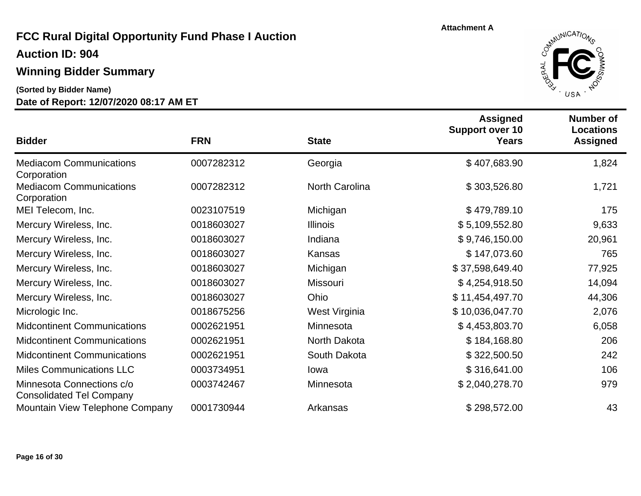**Auction ID: 904**

### **Winning Bidder Summary**

**(Sorted by Bidder Name)**



| <b>Bidder</b>                                                | <b>FRN</b> | <b>State</b>          | <b>Assigned</b><br><b>Support over 10</b><br><b>Years</b> | <b>Number of</b><br><b>Locations</b><br><b>Assigned</b> |
|--------------------------------------------------------------|------------|-----------------------|-----------------------------------------------------------|---------------------------------------------------------|
| <b>Mediacom Communications</b><br>Corporation                | 0007282312 | Georgia               | \$407,683.90                                              | 1,824                                                   |
| <b>Mediacom Communications</b><br>Corporation                | 0007282312 | <b>North Carolina</b> | \$303,526.80                                              | 1,721                                                   |
| MEI Telecom, Inc.                                            | 0023107519 | Michigan              | \$479,789.10                                              | 175                                                     |
| Mercury Wireless, Inc.                                       | 0018603027 | <b>Illinois</b>       | \$5,109,552.80                                            | 9,633                                                   |
| Mercury Wireless, Inc.                                       | 0018603027 | Indiana               | \$9,746,150.00                                            | 20,961                                                  |
| Mercury Wireless, Inc.                                       | 0018603027 | Kansas                | \$147,073.60                                              | 765                                                     |
| Mercury Wireless, Inc.                                       | 0018603027 | Michigan              | \$37,598,649.40                                           | 77,925                                                  |
| Mercury Wireless, Inc.                                       | 0018603027 | <b>Missouri</b>       | \$4,254,918.50                                            | 14,094                                                  |
| Mercury Wireless, Inc.                                       | 0018603027 | Ohio                  | \$11,454,497.70                                           | 44,306                                                  |
| Micrologic Inc.                                              | 0018675256 | West Virginia         | \$10,036,047.70                                           | 2,076                                                   |
| <b>Midcontinent Communications</b>                           | 0002621951 | Minnesota             | \$4,453,803.70                                            | 6,058                                                   |
| <b>Midcontinent Communications</b>                           | 0002621951 | North Dakota          | \$184,168.80                                              | 206                                                     |
| <b>Midcontinent Communications</b>                           | 0002621951 | South Dakota          | \$322,500.50                                              | 242                                                     |
| <b>Miles Communications LLC</b>                              | 0003734951 | lowa                  | \$316,641.00                                              | 106                                                     |
| Minnesota Connections c/o<br><b>Consolidated Tel Company</b> | 0003742467 | Minnesota             | \$2,040,278.70                                            | 979                                                     |
| Mountain View Telephone Company                              | 0001730944 | Arkansas              | \$298,572.00                                              | 43                                                      |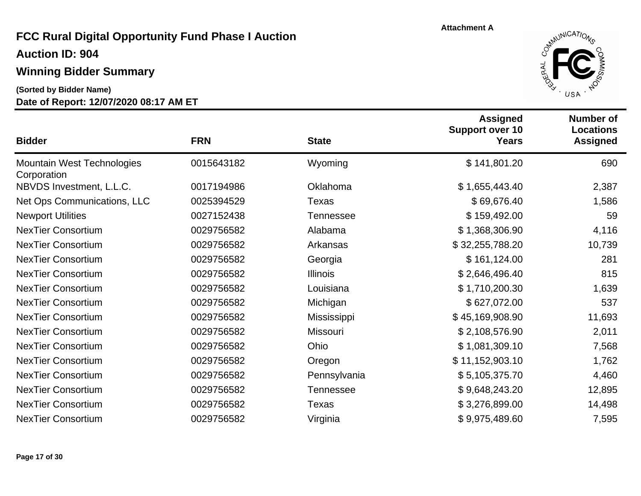**Auction ID: 904**

## **Winning Bidder Summary**

**(Sorted by Bidder Name)**



| <b>Bidder</b>                                    | <b>FRN</b> | <b>State</b>     | <b>Assigned</b><br><b>Support over 10</b><br><b>Years</b> | <b>Number of</b><br><b>Locations</b><br><b>Assigned</b> |
|--------------------------------------------------|------------|------------------|-----------------------------------------------------------|---------------------------------------------------------|
| <b>Mountain West Technologies</b><br>Corporation | 0015643182 | Wyoming          | \$141,801.20                                              | 690                                                     |
| NBVDS Investment, L.L.C.                         | 0017194986 | Oklahoma         | \$1,655,443.40                                            | 2,387                                                   |
| Net Ops Communications, LLC                      | 0025394529 | Texas            | \$69,676.40                                               | 1,586                                                   |
| <b>Newport Utilities</b>                         | 0027152438 | Tennessee        | \$159,492.00                                              | 59                                                      |
| <b>NexTier Consortium</b>                        | 0029756582 | Alabama          | \$1,368,306.90                                            | 4,116                                                   |
| <b>NexTier Consortium</b>                        | 0029756582 | Arkansas         | \$32,255,788.20                                           | 10,739                                                  |
| <b>NexTier Consortium</b>                        | 0029756582 | Georgia          | \$161,124.00                                              | 281                                                     |
| <b>NexTier Consortium</b>                        | 0029756582 | <b>Illinois</b>  | \$2,646,496.40                                            | 815                                                     |
| <b>NexTier Consortium</b>                        | 0029756582 | Louisiana        | \$1,710,200.30                                            | 1,639                                                   |
| <b>NexTier Consortium</b>                        | 0029756582 | Michigan         | \$627,072.00                                              | 537                                                     |
| <b>NexTier Consortium</b>                        | 0029756582 | Mississippi      | \$45,169,908.90                                           | 11,693                                                  |
| <b>NexTier Consortium</b>                        | 0029756582 | <b>Missouri</b>  | \$2,108,576.90                                            | 2,011                                                   |
| <b>NexTier Consortium</b>                        | 0029756582 | <b>Ohio</b>      | \$1,081,309.10                                            | 7,568                                                   |
| <b>NexTier Consortium</b>                        | 0029756582 | Oregon           | \$11,152,903.10                                           | 1,762                                                   |
| <b>NexTier Consortium</b>                        | 0029756582 | Pennsylvania     | \$5,105,375.70                                            | 4,460                                                   |
| <b>NexTier Consortium</b>                        | 0029756582 | <b>Tennessee</b> | \$9,648,243.20                                            | 12,895                                                  |
| <b>NexTier Consortium</b>                        | 0029756582 | Texas            | \$3,276,899.00                                            | 14,498                                                  |
| <b>NexTier Consortium</b>                        | 0029756582 | Virginia         | \$9,975,489.60                                            | 7,595                                                   |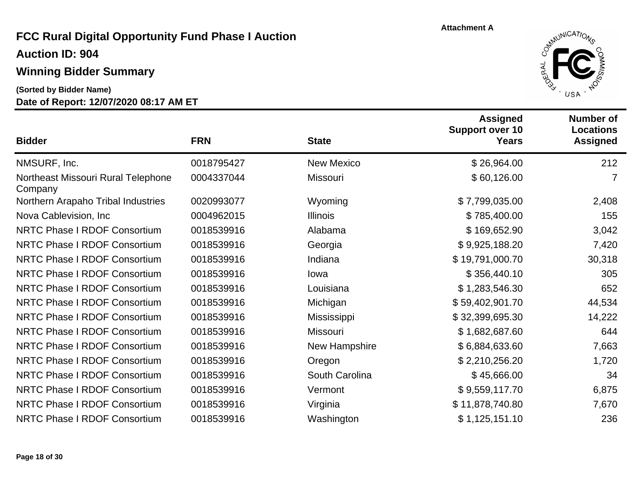**Auction ID: 904**

### **Winning Bidder Summary**

**(Sorted by Bidder Name)**



| <b>Bidder</b>                                 | <b>FRN</b> | <b>State</b>      | <b>Assigned</b><br><b>Support over 10</b><br><b>Years</b> | <b>Number of</b><br><b>Locations</b><br><b>Assigned</b> |
|-----------------------------------------------|------------|-------------------|-----------------------------------------------------------|---------------------------------------------------------|
| NMSURF, Inc.                                  | 0018795427 | <b>New Mexico</b> | \$26,964.00                                               | 212                                                     |
| Northeast Missouri Rural Telephone<br>Company | 0004337044 | Missouri          | \$60,126.00                                               | 7                                                       |
| Northern Arapaho Tribal Industries            | 0020993077 | Wyoming           | \$7,799,035.00                                            | 2,408                                                   |
| Nova Cablevision, Inc.                        | 0004962015 | <b>Illinois</b>   | \$785,400.00                                              | 155                                                     |
| <b>NRTC Phase I RDOF Consortium</b>           | 0018539916 | Alabama           | \$169,652.90                                              | 3,042                                                   |
| <b>NRTC Phase I RDOF Consortium</b>           | 0018539916 | Georgia           | \$9,925,188.20                                            | 7,420                                                   |
| <b>NRTC Phase I RDOF Consortium</b>           | 0018539916 | Indiana           | \$19,791,000.70                                           | 30,318                                                  |
| <b>NRTC Phase I RDOF Consortium</b>           | 0018539916 | lowa              | \$356,440.10                                              | 305                                                     |
| <b>NRTC Phase I RDOF Consortium</b>           | 0018539916 | Louisiana         | \$1,283,546.30                                            | 652                                                     |
| <b>NRTC Phase I RDOF Consortium</b>           | 0018539916 | Michigan          | \$59,402,901.70                                           | 44,534                                                  |
| <b>NRTC Phase I RDOF Consortium</b>           | 0018539916 | Mississippi       | \$32,399,695.30                                           | 14,222                                                  |
| <b>NRTC Phase I RDOF Consortium</b>           | 0018539916 | <b>Missouri</b>   | \$1,682,687.60                                            | 644                                                     |
| <b>NRTC Phase I RDOF Consortium</b>           | 0018539916 | New Hampshire     | \$6,884,633.60                                            | 7,663                                                   |
| <b>NRTC Phase I RDOF Consortium</b>           | 0018539916 | Oregon            | \$2,210,256.20                                            | 1,720                                                   |
| <b>NRTC Phase I RDOF Consortium</b>           | 0018539916 | South Carolina    | \$45,666.00                                               | 34                                                      |
| <b>NRTC Phase I RDOF Consortium</b>           | 0018539916 | Vermont           | \$9,559,117.70                                            | 6,875                                                   |
| <b>NRTC Phase I RDOF Consortium</b>           | 0018539916 | Virginia          | \$11,878,740.80                                           | 7,670                                                   |
| <b>NRTC Phase I RDOF Consortium</b>           | 0018539916 | Washington        | \$1,125,151.10                                            | 236                                                     |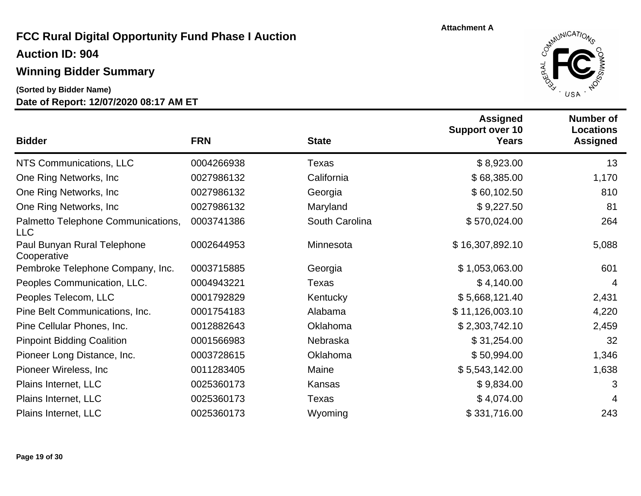**Auction ID: 904**

## **Winning Bidder Summary**

**(Sorted by Bidder Name)**



| <b>Bidder</b>                                    | <b>FRN</b> | <b>State</b>   | <b>Assigned</b><br><b>Support over 10</b><br><b>Years</b> | <b>Number of</b><br><b>Locations</b><br><b>Assigned</b> |
|--------------------------------------------------|------------|----------------|-----------------------------------------------------------|---------------------------------------------------------|
| NTS Communications, LLC                          | 0004266938 | Texas          | \$8,923.00                                                | 13                                                      |
| One Ring Networks, Inc.                          | 0027986132 | California     | \$68,385.00                                               | 1,170                                                   |
| One Ring Networks, Inc.                          | 0027986132 | Georgia        | \$60,102.50                                               | 810                                                     |
| One Ring Networks, Inc.                          | 0027986132 | Maryland       | \$9,227.50                                                | 81                                                      |
| Palmetto Telephone Communications,<br><b>LLC</b> | 0003741386 | South Carolina | \$570,024.00                                              | 264                                                     |
| Paul Bunyan Rural Telephone<br>Cooperative       | 0002644953 | Minnesota      | \$16,307,892.10                                           | 5,088                                                   |
| Pembroke Telephone Company, Inc.                 | 0003715885 | Georgia        | \$1,053,063.00                                            | 601                                                     |
| Peoples Communication, LLC.                      | 0004943221 | Texas          | \$4,140.00                                                | 4                                                       |
| Peoples Telecom, LLC                             | 0001792829 | Kentucky       | \$5,668,121.40                                            | 2,431                                                   |
| Pine Belt Communications, Inc.                   | 0001754183 | Alabama        | \$11,126,003.10                                           | 4,220                                                   |
| Pine Cellular Phones, Inc.                       | 0012882643 | Oklahoma       | \$2,303,742.10                                            | 2,459                                                   |
| <b>Pinpoint Bidding Coalition</b>                | 0001566983 | Nebraska       | \$31,254.00                                               | 32                                                      |
| Pioneer Long Distance, Inc.                      | 0003728615 | Oklahoma       | \$50,994.00                                               | 1,346                                                   |
| Pioneer Wireless, Inc.                           | 0011283405 | Maine          | \$5,543,142.00                                            | 1,638                                                   |
| Plains Internet, LLC                             | 0025360173 | Kansas         | \$9,834.00                                                | 3                                                       |
| Plains Internet, LLC                             | 0025360173 | Texas          | \$4,074.00                                                | 4                                                       |
| Plains Internet, LLC                             | 0025360173 | Wyoming        | \$331,716.00                                              | 243                                                     |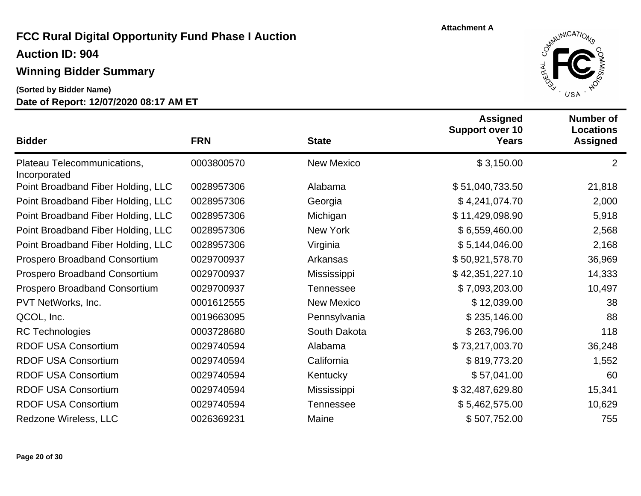**Auction ID: 904**

## **Winning Bidder Summary**

**(Sorted by Bidder Name)**



| <b>Bidder</b>                               | <b>FRN</b> | <b>State</b>      | <b>Assigned</b><br><b>Support over 10</b><br><b>Years</b> | <b>Number of</b><br><b>Locations</b><br><b>Assigned</b> |
|---------------------------------------------|------------|-------------------|-----------------------------------------------------------|---------------------------------------------------------|
| Plateau Telecommunications,<br>Incorporated | 0003800570 | <b>New Mexico</b> | \$3,150.00                                                | $\overline{2}$                                          |
| Point Broadband Fiber Holding, LLC          | 0028957306 | Alabama           | \$51,040,733.50                                           | 21,818                                                  |
| Point Broadband Fiber Holding, LLC          | 0028957306 | Georgia           | \$4,241,074.70                                            | 2,000                                                   |
| Point Broadband Fiber Holding, LLC          | 0028957306 | Michigan          | \$11,429,098.90                                           | 5,918                                                   |
| Point Broadband Fiber Holding, LLC          | 0028957306 | <b>New York</b>   | \$6,559,460.00                                            | 2,568                                                   |
| Point Broadband Fiber Holding, LLC          | 0028957306 | Virginia          | \$5,144,046.00                                            | 2,168                                                   |
| Prospero Broadband Consortium               | 0029700937 | Arkansas          | \$50,921,578.70                                           | 36,969                                                  |
| Prospero Broadband Consortium               | 0029700937 | Mississippi       | \$42,351,227.10                                           | 14,333                                                  |
| Prospero Broadband Consortium               | 0029700937 | <b>Tennessee</b>  | \$7,093,203.00                                            | 10,497                                                  |
| PVT NetWorks, Inc.                          | 0001612555 | <b>New Mexico</b> | \$12,039.00                                               | 38                                                      |
| QCOL, Inc.                                  | 0019663095 | Pennsylvania      | \$235,146.00                                              | 88                                                      |
| <b>RC Technologies</b>                      | 0003728680 | South Dakota      | \$263,796.00                                              | 118                                                     |
| <b>RDOF USA Consortium</b>                  | 0029740594 | Alabama           | \$73,217,003.70                                           | 36,248                                                  |
| <b>RDOF USA Consortium</b>                  | 0029740594 | California        | \$819,773.20                                              | 1,552                                                   |
| <b>RDOF USA Consortium</b>                  | 0029740594 | Kentucky          | \$57,041.00                                               | 60                                                      |
| RDOF USA Consortium                         | 0029740594 | Mississippi       | \$32,487,629.80                                           | 15,341                                                  |
| <b>RDOF USA Consortium</b>                  | 0029740594 | <b>Tennessee</b>  | \$5,462,575.00                                            | 10,629                                                  |
| Redzone Wireless, LLC                       | 0026369231 | Maine             | \$507,752.00                                              | 755                                                     |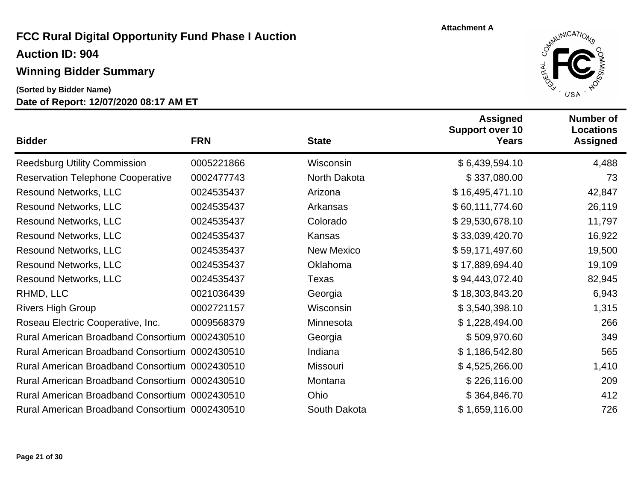#### **Winning Bidder Summary**

**(Sorted by Bidder Name)**



| <b>Bidder</b>                                  | <b>FRN</b> | <b>State</b>      | <b>Assigned</b><br><b>Support over 10</b><br><b>Years</b> | <b>Number of</b><br><b>Locations</b><br><b>Assigned</b> |
|------------------------------------------------|------------|-------------------|-----------------------------------------------------------|---------------------------------------------------------|
| <b>Reedsburg Utility Commission</b>            | 0005221866 | Wisconsin         | \$6,439,594.10                                            | 4,488                                                   |
| <b>Reservation Telephone Cooperative</b>       | 0002477743 | North Dakota      | \$337,080.00                                              | 73                                                      |
| <b>Resound Networks, LLC</b>                   | 0024535437 | Arizona           | \$16,495,471.10                                           | 42,847                                                  |
| <b>Resound Networks, LLC</b>                   | 0024535437 | Arkansas          | \$60,111,774.60                                           | 26,119                                                  |
| <b>Resound Networks, LLC</b>                   | 0024535437 | Colorado          | \$29,530,678.10                                           | 11,797                                                  |
| <b>Resound Networks, LLC</b>                   | 0024535437 | Kansas            | \$33,039,420.70                                           | 16,922                                                  |
| <b>Resound Networks, LLC</b>                   | 0024535437 | <b>New Mexico</b> | \$59,171,497.60                                           | 19,500                                                  |
| <b>Resound Networks, LLC</b>                   | 0024535437 | Oklahoma          | \$17,889,694.40                                           | 19,109                                                  |
| <b>Resound Networks, LLC</b>                   | 0024535437 | <b>Texas</b>      | \$94,443,072.40                                           | 82,945                                                  |
| RHMD, LLC                                      | 0021036439 | Georgia           | \$18,303,843.20                                           | 6,943                                                   |
| <b>Rivers High Group</b>                       | 0002721157 | Wisconsin         | \$3,540,398.10                                            | 1,315                                                   |
| Roseau Electric Cooperative, Inc.              | 0009568379 | Minnesota         | \$1,228,494.00                                            | 266                                                     |
| Rural American Broadband Consortium 0002430510 |            | Georgia           | \$509,970.60                                              | 349                                                     |
| Rural American Broadband Consortium 0002430510 |            | Indiana           | \$1,186,542.80                                            | 565                                                     |
| Rural American Broadband Consortium 0002430510 |            | Missouri          | \$4,525,266.00                                            | 1,410                                                   |
| Rural American Broadband Consortium 0002430510 |            | Montana           | \$226,116.00                                              | 209                                                     |
| Rural American Broadband Consortium 0002430510 |            | Ohio              | \$364,846.70                                              | 412                                                     |
| Rural American Broadband Consortium 0002430510 |            | South Dakota      | \$1,659,116.00                                            | 726                                                     |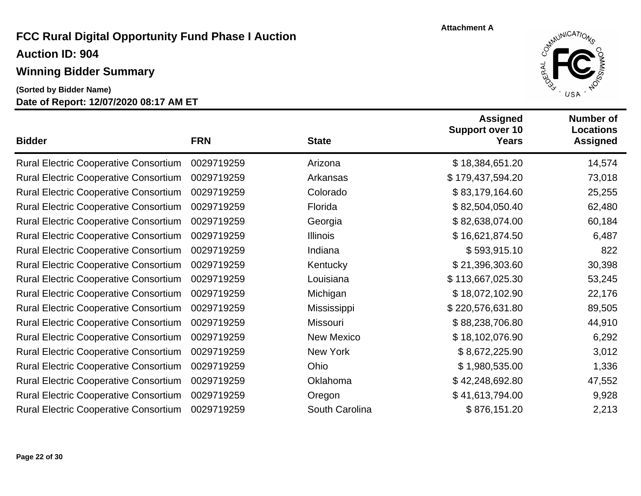## **Winning Bidder Summary**

**Date of Report: 12/07/2020 08:17 AM ET (Sorted by Bidder Name)**



| <b>Bidder</b>                                | <b>FRN</b> | <b>State</b>      | <b>Assigned</b><br><b>Support over 10</b><br><b>Years</b> | <b>Number of</b><br><b>Locations</b><br><b>Assigned</b> |
|----------------------------------------------|------------|-------------------|-----------------------------------------------------------|---------------------------------------------------------|
| <b>Rural Electric Cooperative Consortium</b> | 0029719259 | Arizona           | \$18,384,651.20                                           | 14,574                                                  |
| <b>Rural Electric Cooperative Consortium</b> | 0029719259 | Arkansas          | \$179,437,594.20                                          | 73,018                                                  |
| <b>Rural Electric Cooperative Consortium</b> | 0029719259 | Colorado          | \$83,179,164.60                                           | 25,255                                                  |
| <b>Rural Electric Cooperative Consortium</b> | 0029719259 | Florida           | \$82,504,050.40                                           | 62,480                                                  |
| <b>Rural Electric Cooperative Consortium</b> | 0029719259 | Georgia           | \$82,638,074.00                                           | 60,184                                                  |
| <b>Rural Electric Cooperative Consortium</b> | 0029719259 | <b>Illinois</b>   | \$16,621,874.50                                           | 6,487                                                   |
| <b>Rural Electric Cooperative Consortium</b> | 0029719259 | Indiana           | \$593,915.10                                              | 822                                                     |
| <b>Rural Electric Cooperative Consortium</b> | 0029719259 | Kentucky          | \$21,396,303.60                                           | 30,398                                                  |
| <b>Rural Electric Cooperative Consortium</b> | 0029719259 | Louisiana         | \$113,667,025.30                                          | 53,245                                                  |
| <b>Rural Electric Cooperative Consortium</b> | 0029719259 | Michigan          | \$18,072,102.90                                           | 22,176                                                  |
| <b>Rural Electric Cooperative Consortium</b> | 0029719259 | Mississippi       | \$220,576,631.80                                          | 89,505                                                  |
| <b>Rural Electric Cooperative Consortium</b> | 0029719259 | Missouri          | \$88,238,706.80                                           | 44,910                                                  |
| <b>Rural Electric Cooperative Consortium</b> | 0029719259 | <b>New Mexico</b> | \$18,102,076.90                                           | 6,292                                                   |
| <b>Rural Electric Cooperative Consortium</b> | 0029719259 | New York          | \$8,672,225.90                                            | 3,012                                                   |
| <b>Rural Electric Cooperative Consortium</b> | 0029719259 | Ohio              | \$1,980,535.00                                            | 1,336                                                   |
| <b>Rural Electric Cooperative Consortium</b> | 0029719259 | Oklahoma          | \$42,248,692.80                                           | 47,552                                                  |
| <b>Rural Electric Cooperative Consortium</b> | 0029719259 | Oregon            | \$41,613,794.00                                           | 9,928                                                   |
| <b>Rural Electric Cooperative Consortium</b> | 0029719259 | South Carolina    | \$876,151.20                                              | 2,213                                                   |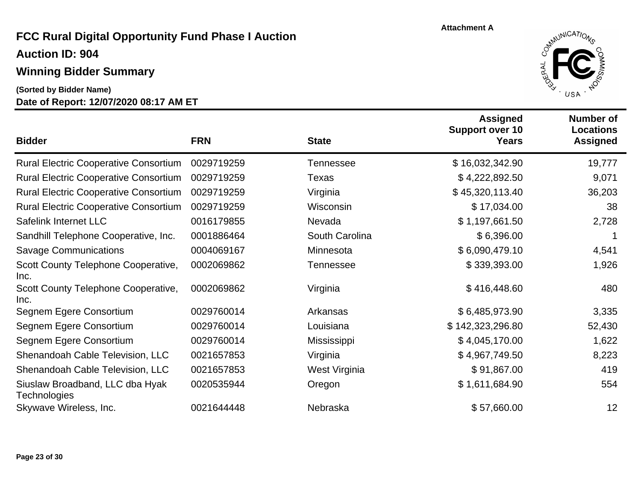### **Winning Bidder Summary**

**Date of Report: 12/07/2020 08:17 AM ET (Sorted by Bidder Name)**



| <b>Bidder</b>                                          | <b>FRN</b> | <b>State</b>     | <b>Assigned</b><br><b>Support over 10</b><br>Years | <b>Number of</b><br><b>Locations</b><br><b>Assigned</b> |
|--------------------------------------------------------|------------|------------------|----------------------------------------------------|---------------------------------------------------------|
| <b>Rural Electric Cooperative Consortium</b>           | 0029719259 | <b>Tennessee</b> | \$16,032,342.90                                    | 19,777                                                  |
| <b>Rural Electric Cooperative Consortium</b>           | 0029719259 | Texas            | \$4,222,892.50                                     | 9,071                                                   |
| <b>Rural Electric Cooperative Consortium</b>           | 0029719259 | Virginia         | \$45,320,113.40                                    | 36,203                                                  |
| <b>Rural Electric Cooperative Consortium</b>           | 0029719259 | Wisconsin        | \$17,034.00                                        | 38                                                      |
| Safelink Internet LLC                                  | 0016179855 | Nevada           | \$1,197,661.50                                     | 2,728                                                   |
| Sandhill Telephone Cooperative, Inc.                   | 0001886464 | South Carolina   | \$6,396.00                                         |                                                         |
| <b>Savage Communications</b>                           | 0004069167 | Minnesota        | \$6,090,479.10                                     | 4,541                                                   |
| Scott County Telephone Cooperative,<br>Inc.            | 0002069862 | <b>Tennessee</b> | \$339,393.00                                       | 1,926                                                   |
| Scott County Telephone Cooperative,<br>Inc.            | 0002069862 | Virginia         | \$416,448.60                                       | 480                                                     |
| Segnem Egere Consortium                                | 0029760014 | Arkansas         | \$6,485,973.90                                     | 3,335                                                   |
| Segnem Egere Consortium                                | 0029760014 | Louisiana        | \$142,323,296.80                                   | 52,430                                                  |
| Segnem Egere Consortium                                | 0029760014 | Mississippi      | \$4,045,170.00                                     | 1,622                                                   |
| Shenandoah Cable Television, LLC                       | 0021657853 | Virginia         | \$4,967,749.50                                     | 8,223                                                   |
| Shenandoah Cable Television, LLC                       | 0021657853 | West Virginia    | \$91,867.00                                        | 419                                                     |
| Siuslaw Broadband, LLC dba Hyak<br><b>Technologies</b> | 0020535944 | Oregon           | \$1,611,684.90                                     | 554                                                     |
| Skywave Wireless, Inc.                                 | 0021644448 | Nebraska         | \$57,660.00                                        | 12                                                      |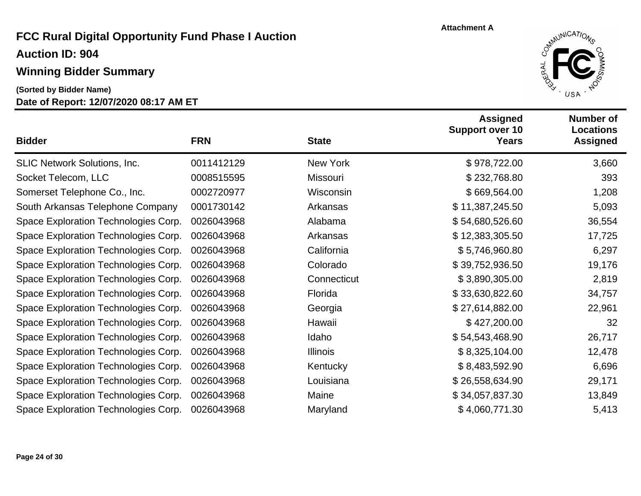### **Winning Bidder Summary**

**(Sorted by Bidder Name)**



| <b>Bidder</b>                        | <b>FRN</b> | <b>State</b>    | <b>Assigned</b><br><b>Support over 10</b><br><b>Years</b> | <b>Number of</b><br><b>Locations</b><br><b>Assigned</b> |
|--------------------------------------|------------|-----------------|-----------------------------------------------------------|---------------------------------------------------------|
| <b>SLIC Network Solutions, Inc.</b>  | 0011412129 | New York        | \$978,722.00                                              | 3,660                                                   |
| Socket Telecom, LLC                  | 0008515595 | Missouri        | \$232,768.80                                              | 393                                                     |
| Somerset Telephone Co., Inc.         | 0002720977 | Wisconsin       | \$669,564.00                                              | 1,208                                                   |
| South Arkansas Telephone Company     | 0001730142 | Arkansas        | \$11,387,245.50                                           | 5,093                                                   |
| Space Exploration Technologies Corp. | 0026043968 | Alabama         | \$54,680,526.60                                           | 36,554                                                  |
| Space Exploration Technologies Corp. | 0026043968 | Arkansas        | \$12,383,305.50                                           | 17,725                                                  |
| Space Exploration Technologies Corp. | 0026043968 | California      | \$5,746,960.80                                            | 6,297                                                   |
| Space Exploration Technologies Corp. | 0026043968 | Colorado        | \$39,752,936.50                                           | 19,176                                                  |
| Space Exploration Technologies Corp. | 0026043968 | Connecticut     | \$3,890,305.00                                            | 2,819                                                   |
| Space Exploration Technologies Corp. | 0026043968 | Florida         | \$33,630,822.60                                           | 34,757                                                  |
| Space Exploration Technologies Corp. | 0026043968 | Georgia         | \$27,614,882.00                                           | 22,961                                                  |
| Space Exploration Technologies Corp. | 0026043968 | Hawaii          | \$427,200.00                                              | 32                                                      |
| Space Exploration Technologies Corp. | 0026043968 | Idaho           | \$54,543,468.90                                           | 26,717                                                  |
| Space Exploration Technologies Corp. | 0026043968 | <b>Illinois</b> | \$8,325,104.00                                            | 12,478                                                  |
| Space Exploration Technologies Corp. | 0026043968 | Kentucky        | \$8,483,592.90                                            | 6,696                                                   |
| Space Exploration Technologies Corp. | 0026043968 | Louisiana       | \$26,558,634.90                                           | 29,171                                                  |
| Space Exploration Technologies Corp. | 0026043968 | Maine           | \$34,057,837.30                                           | 13,849                                                  |
| Space Exploration Technologies Corp. | 0026043968 | Maryland        | \$4,060,771.30                                            | 5,413                                                   |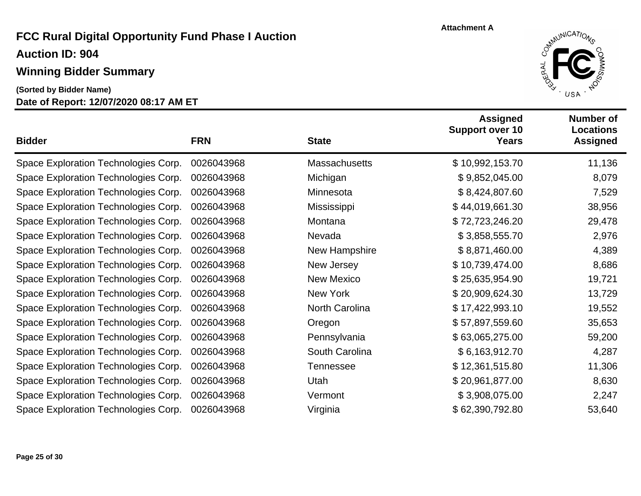## **Winning Bidder Summary**

**Date of Report: 12/07/2020 08:17 AM ET (Sorted by Bidder Name)**



| <b>Bidder</b>                        | <b>FRN</b> | <b>State</b>         | <b>Assigned</b><br><b>Support over 10</b><br><b>Years</b> | <b>Number of</b><br><b>Locations</b><br><b>Assigned</b> |
|--------------------------------------|------------|----------------------|-----------------------------------------------------------|---------------------------------------------------------|
| Space Exploration Technologies Corp. | 0026043968 | <b>Massachusetts</b> | \$10,992,153.70                                           | 11,136                                                  |
| Space Exploration Technologies Corp. | 0026043968 | Michigan             | \$9,852,045.00                                            | 8,079                                                   |
| Space Exploration Technologies Corp. | 0026043968 | Minnesota            | \$8,424,807.60                                            | 7,529                                                   |
| Space Exploration Technologies Corp. | 0026043968 | Mississippi          | \$44,019,661.30                                           | 38,956                                                  |
| Space Exploration Technologies Corp. | 0026043968 | Montana              | \$72,723,246.20                                           | 29,478                                                  |
| Space Exploration Technologies Corp. | 0026043968 | Nevada               | \$3,858,555.70                                            | 2,976                                                   |
| Space Exploration Technologies Corp. | 0026043968 | New Hampshire        | \$8,871,460.00                                            | 4,389                                                   |
| Space Exploration Technologies Corp. | 0026043968 | New Jersey           | \$10,739,474.00                                           | 8,686                                                   |
| Space Exploration Technologies Corp. | 0026043968 | <b>New Mexico</b>    | \$25,635,954.90                                           | 19,721                                                  |
| Space Exploration Technologies Corp. | 0026043968 | New York             | \$20,909,624.30                                           | 13,729                                                  |
| Space Exploration Technologies Corp. | 0026043968 | North Carolina       | \$17,422,993.10                                           | 19,552                                                  |
| Space Exploration Technologies Corp. | 0026043968 | Oregon               | \$57,897,559.60                                           | 35,653                                                  |
| Space Exploration Technologies Corp. | 0026043968 | Pennsylvania         | \$63,065,275.00                                           | 59,200                                                  |
| Space Exploration Technologies Corp. | 0026043968 | South Carolina       | \$6,163,912.70                                            | 4,287                                                   |
| Space Exploration Technologies Corp. | 0026043968 | <b>Tennessee</b>     | \$12,361,515.80                                           | 11,306                                                  |
| Space Exploration Technologies Corp. | 0026043968 | Utah                 | \$20,961,877.00                                           | 8,630                                                   |
| Space Exploration Technologies Corp. | 0026043968 | Vermont              | \$3,908,075.00                                            | 2,247                                                   |
| Space Exploration Technologies Corp. | 0026043968 | Virginia             | \$62,390,792.80                                           | 53,640                                                  |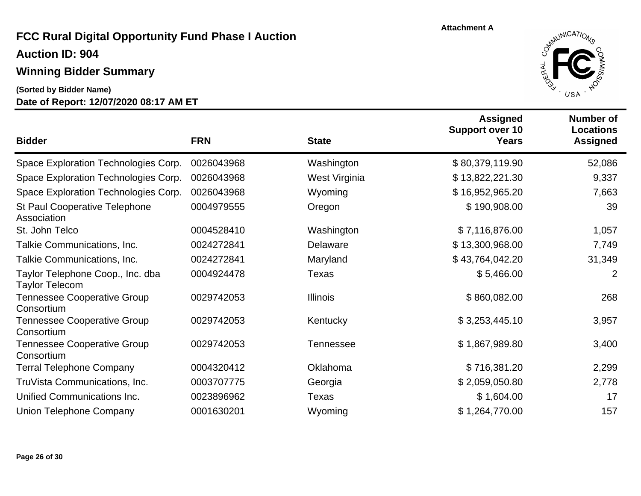#### **Winning Bidder Summary**

**(Sorted by Bidder Name)**



|                                                           |            |                  | <b>Assigned</b><br><b>Support over 10</b> | Number of<br><b>Locations</b> |
|-----------------------------------------------------------|------------|------------------|-------------------------------------------|-------------------------------|
| <b>Bidder</b>                                             | <b>FRN</b> | <b>State</b>     | Years                                     | <b>Assigned</b>               |
| Space Exploration Technologies Corp.                      | 0026043968 | Washington       | \$80,379,119.90                           | 52,086                        |
| Space Exploration Technologies Corp.                      | 0026043968 | West Virginia    | \$13,822,221.30                           | 9,337                         |
| Space Exploration Technologies Corp.                      | 0026043968 | Wyoming          | \$16,952,965.20                           | 7,663                         |
| St Paul Cooperative Telephone<br>Association              | 0004979555 | Oregon           | \$190,908.00                              | 39                            |
| St. John Telco                                            | 0004528410 | Washington       | \$7,116,876.00                            | 1,057                         |
| Talkie Communications, Inc.                               | 0024272841 | Delaware         | \$13,300,968.00                           | 7,749                         |
| Talkie Communications, Inc.                               | 0024272841 | Maryland         | \$43,764,042.20                           | 31,349                        |
| Taylor Telephone Coop., Inc. dba<br><b>Taylor Telecom</b> | 0004924478 | Texas            | \$5,466.00                                | 2                             |
| <b>Tennessee Cooperative Group</b><br>Consortium          | 0029742053 | <b>Illinois</b>  | \$860,082.00                              | 268                           |
| <b>Tennessee Cooperative Group</b><br>Consortium          | 0029742053 | Kentucky         | \$3,253,445.10                            | 3,957                         |
| <b>Tennessee Cooperative Group</b><br>Consortium          | 0029742053 | <b>Tennessee</b> | \$1,867,989.80                            | 3,400                         |
| <b>Terral Telephone Company</b>                           | 0004320412 | Oklahoma         | \$716,381.20                              | 2,299                         |
| TruVista Communications, Inc.                             | 0003707775 | Georgia          | \$2,059,050.80                            | 2,778                         |
| Unified Communications Inc.                               | 0023896962 | Texas            | \$1,604.00                                | 17                            |
| Union Telephone Company                                   | 0001630201 | Wyoming          | \$1,264,770.00                            | 157                           |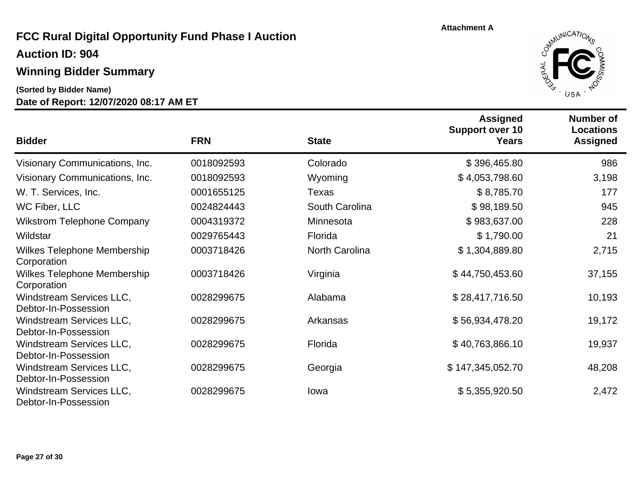#### **Winning Bidder Summary**

**(Sorted by Bidder Name)**



| <b>Bidder</b>                                     | <b>FRN</b> | <b>State</b>          | <b>Assigned</b><br><b>Support over 10</b><br><b>Years</b> | Number of<br><b>Locations</b><br><b>Assigned</b> |
|---------------------------------------------------|------------|-----------------------|-----------------------------------------------------------|--------------------------------------------------|
| Visionary Communications, Inc.                    | 0018092593 | Colorado              | \$396,465.80                                              | 986                                              |
| Visionary Communications, Inc.                    | 0018092593 | Wyoming               | \$4,053,798.60                                            | 3,198                                            |
| W. T. Services, Inc.                              | 0001655125 | Texas                 | \$8,785.70                                                | 177                                              |
| WC Fiber, LLC                                     | 0024824443 | South Carolina        | \$98,189.50                                               | 945                                              |
| <b>Wikstrom Telephone Company</b>                 | 0004319372 | Minnesota             | \$983,637.00                                              | 228                                              |
| Wildstar                                          | 0029765443 | Florida               | \$1,790.00                                                | 21                                               |
| Wilkes Telephone Membership<br>Corporation        | 0003718426 | <b>North Carolina</b> | \$1,304,889.80                                            | 2,715                                            |
| <b>Wilkes Telephone Membership</b><br>Corporation | 0003718426 | Virginia              | \$44,750,453.60                                           | 37,155                                           |
| Windstream Services LLC,<br>Debtor-In-Possession  | 0028299675 | Alabama               | \$28,417,716.50                                           | 10,193                                           |
| Windstream Services LLC,<br>Debtor-In-Possession  | 0028299675 | Arkansas              | \$56,934,478.20                                           | 19,172                                           |
| Windstream Services LLC,<br>Debtor-In-Possession  | 0028299675 | Florida               | \$40,763,866.10                                           | 19,937                                           |
| Windstream Services LLC,<br>Debtor-In-Possession  | 0028299675 | Georgia               | \$147,345,052.70                                          | 48,208                                           |
| Windstream Services LLC,<br>Debtor-In-Possession  | 0028299675 | lowa                  | \$5,355,920.50                                            | 2,472                                            |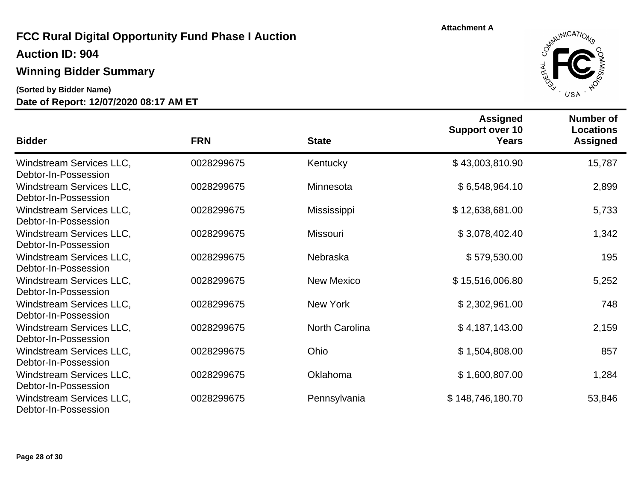**Auction ID: 904**

#### **Winning Bidder Summary**

**(Sorted by Bidder Name)**



| <b>Bidder</b>                                                            | <b>FRN</b> | <b>State</b>          | <b>Assigned</b><br><b>Support over 10</b><br><b>Years</b> | <b>Number of</b><br><b>Locations</b><br><b>Assigned</b> |
|--------------------------------------------------------------------------|------------|-----------------------|-----------------------------------------------------------|---------------------------------------------------------|
| Windstream Services LLC,                                                 | 0028299675 | Kentucky              | \$43,003,810.90                                           | 15,787                                                  |
| Debtor-In-Possession<br>Windstream Services LLC,<br>Debtor-In-Possession | 0028299675 | Minnesota             | \$6,548,964.10                                            | 2,899                                                   |
| Windstream Services LLC,<br>Debtor-In-Possession                         | 0028299675 | Mississippi           | \$12,638,681.00                                           | 5,733                                                   |
| Windstream Services LLC,<br>Debtor-In-Possession                         | 0028299675 | Missouri              | \$3,078,402.40                                            | 1,342                                                   |
| Windstream Services LLC,<br>Debtor-In-Possession                         | 0028299675 | Nebraska              | \$579,530.00                                              | 195                                                     |
| Windstream Services LLC,<br>Debtor-In-Possession                         | 0028299675 | <b>New Mexico</b>     | \$15,516,006.80                                           | 5,252                                                   |
| Windstream Services LLC,<br>Debtor-In-Possession                         | 0028299675 | New York              | \$2,302,961.00                                            | 748                                                     |
| Windstream Services LLC,<br>Debtor-In-Possession                         | 0028299675 | <b>North Carolina</b> | \$4,187,143.00                                            | 2,159                                                   |
| Windstream Services LLC,<br>Debtor-In-Possession                         | 0028299675 | Ohio                  | \$1,504,808.00                                            | 857                                                     |
| Windstream Services LLC,<br>Debtor-In-Possession                         | 0028299675 | Oklahoma              | \$1,600,807.00                                            | 1,284                                                   |
| Windstream Services LLC,<br>Debtor-In-Possession                         | 0028299675 | Pennsylvania          | \$148,746,180.70                                          | 53,846                                                  |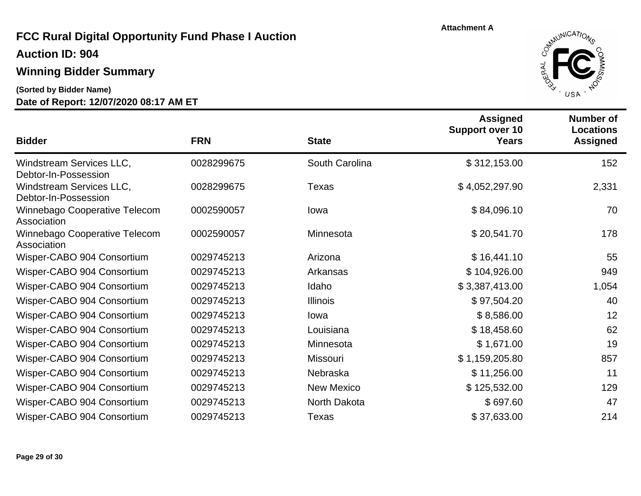**Auction ID: 904**

### **Winning Bidder Summary**

**(Sorted by Bidder Name)**



| <b>Bidder</b>                                    | <b>FRN</b> | <b>State</b>      | <b>Assigned</b><br><b>Support over 10</b><br><b>Years</b> | <b>Number of</b><br><b>Locations</b><br><b>Assigned</b> |
|--------------------------------------------------|------------|-------------------|-----------------------------------------------------------|---------------------------------------------------------|
| Windstream Services LLC,<br>Debtor-In-Possession | 0028299675 | South Carolina    | \$312,153.00                                              | 152                                                     |
| Windstream Services LLC,<br>Debtor-In-Possession | 0028299675 | Texas             | \$4,052,297.90                                            | 2,331                                                   |
| Winnebago Cooperative Telecom<br>Association     | 0002590057 | lowa              | \$84,096.10                                               | 70                                                      |
| Winnebago Cooperative Telecom<br>Association     | 0002590057 | Minnesota         | \$20,541.70                                               | 178                                                     |
| Wisper-CABO 904 Consortium                       | 0029745213 | Arizona           | \$16,441.10                                               | 55                                                      |
| Wisper-CABO 904 Consortium                       | 0029745213 | Arkansas          | \$104,926.00                                              | 949                                                     |
| Wisper-CABO 904 Consortium                       | 0029745213 | Idaho             | \$3,387,413.00                                            | 1,054                                                   |
| Wisper-CABO 904 Consortium                       | 0029745213 | <b>Illinois</b>   | \$97,504.20                                               | 40                                                      |
| Wisper-CABO 904 Consortium                       | 0029745213 | lowa              | \$8,586.00                                                | 12                                                      |
| Wisper-CABO 904 Consortium                       | 0029745213 | Louisiana         | \$18,458.60                                               | 62                                                      |
| Wisper-CABO 904 Consortium                       | 0029745213 | Minnesota         | \$1,671.00                                                | 19                                                      |
| Wisper-CABO 904 Consortium                       | 0029745213 | Missouri          | \$1,159,205.80                                            | 857                                                     |
| Wisper-CABO 904 Consortium                       | 0029745213 | Nebraska          | \$11,256.00                                               | 11                                                      |
| Wisper-CABO 904 Consortium                       | 0029745213 | <b>New Mexico</b> | \$125,532.00                                              | 129                                                     |
| Wisper-CABO 904 Consortium                       | 0029745213 | North Dakota      | \$697.60                                                  | 47                                                      |
| Wisper-CABO 904 Consortium                       | 0029745213 | Texas             | \$37,633.00                                               | 214                                                     |